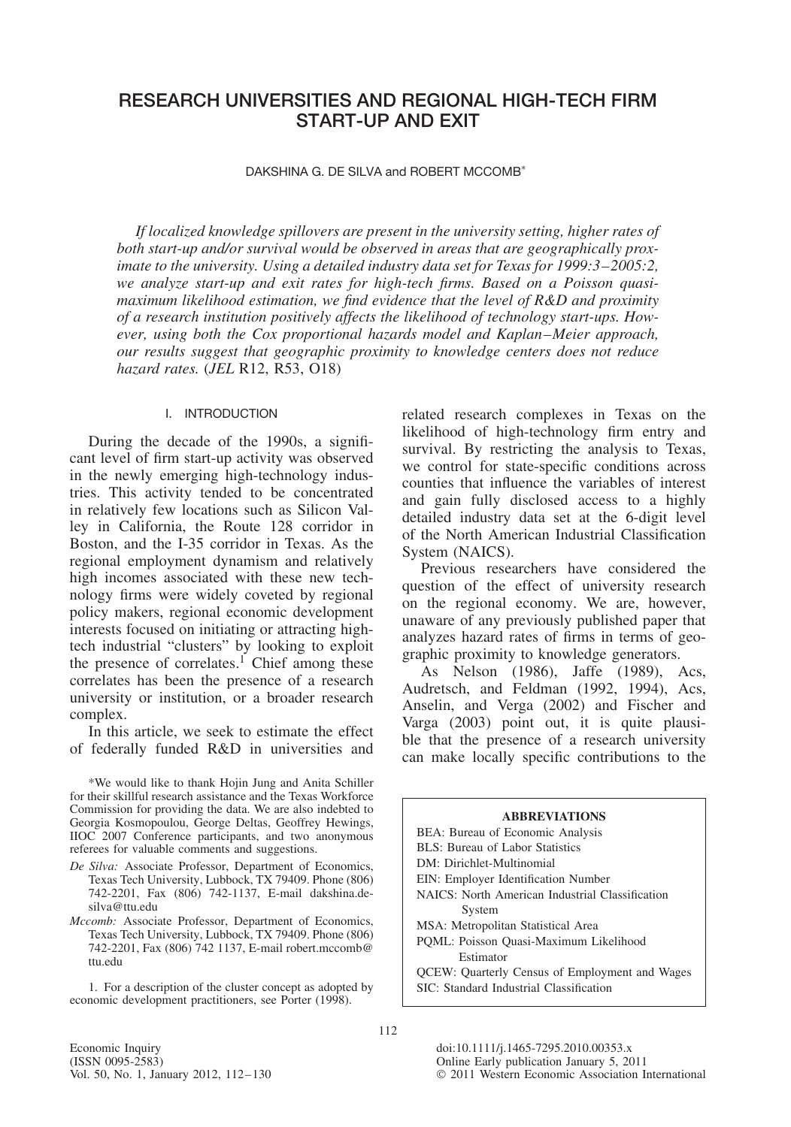# **RESEARCH UNIVERSITIES AND REGIONAL HIGH-TECH FIRM START-UP AND EXIT**

DAKSHINA G. DE SILVA and ROBERT MCCOMB<sup>\*</sup>

*If localized knowledge spillovers are present in the university setting, higher rates of both start-up and/or survival would be observed in areas that are geographically proximate to the university. Using a detailed industry data set for Texas for 1999:3–2005:2, we analyze start-up and exit rates for high-tech firms. Based on a Poisson quasimaximum likelihood estimation, we find evidence that the level of R&D and proximity of a research institution positively affects the likelihood of technology start-ups. However, using both the Cox proportional hazards model and Kaplan–Meier approach, our results suggest that geographic proximity to knowledge centers does not reduce hazard rates.* (*JEL* R12, R53, O18)

### I. INTRODUCTION

During the decade of the 1990s, a significant level of firm start-up activity was observed in the newly emerging high-technology industries. This activity tended to be concentrated in relatively few locations such as Silicon Valley in California, the Route 128 corridor in Boston, and the I-35 corridor in Texas. As the regional employment dynamism and relatively high incomes associated with these new technology firms were widely coveted by regional policy makers, regional economic development interests focused on initiating or attracting hightech industrial "clusters" by looking to exploit the presence of correlates.<sup>1</sup> Chief among these correlates has been the presence of a research university or institution, or a broader research complex.

In this article, we seek to estimate the effect of federally funded R&D in universities and

\*We would like to thank Hojin Jung and Anita Schiller for their skillful research assistance and the Texas Workforce Commission for providing the data. We are also indebted to Georgia Kosmopoulou, George Deltas, Geoffrey Hewings, IIOC 2007 Conference participants, and two anonymous referees for valuable comments and suggestions.

- *De Silva:* Associate Professor, Department of Economics, Texas Tech University, Lubbock, TX 79409. Phone (806) 742-2201, Fax (806) 742-1137, E-mail dakshina.desilva@ttu.edu
- *Mccomb:* Associate Professor, Department of Economics, Texas Tech University, Lubbock, TX 79409. Phone (806) 742-2201, Fax (806) 742 1137, E-mail robert.mccomb@ ttu.edu

1. For a description of the cluster concept as adopted by economic development practitioners, see Porter (1998).

Economic Inquiry (ISSN 0095-2583) Vol. 50, No. 1, January 2012, 112–130 related research complexes in Texas on the likelihood of high-technology firm entry and survival. By restricting the analysis to Texas, we control for state-specific conditions across counties that influence the variables of interest and gain fully disclosed access to a highly detailed industry data set at the 6-digit level of the North American Industrial Classification System (NAICS).

Previous researchers have considered the question of the effect of university research on the regional economy. We are, however, unaware of any previously published paper that analyzes hazard rates of firms in terms of geographic proximity to knowledge generators.

As Nelson (1986), Jaffe (1989), Acs, Audretsch, and Feldman (1992, 1994), Acs, Anselin, and Verga (2002) and Fischer and Varga (2003) point out, it is quite plausible that the presence of a research university can make locally specific contributions to the

#### **ABBREVIATIONS**

BEA: Bureau of Economic Analysis BLS: Bureau of Labor Statistics DM: Dirichlet-Multinomial EIN: Employer Identification Number NAICS: North American Industrial Classification System MSA: Metropolitan Statistical Area PQML: Poisson Quasi-Maximum Likelihood Estimator QCEW: Quarterly Census of Employment and Wages SIC: Standard Industrial Classification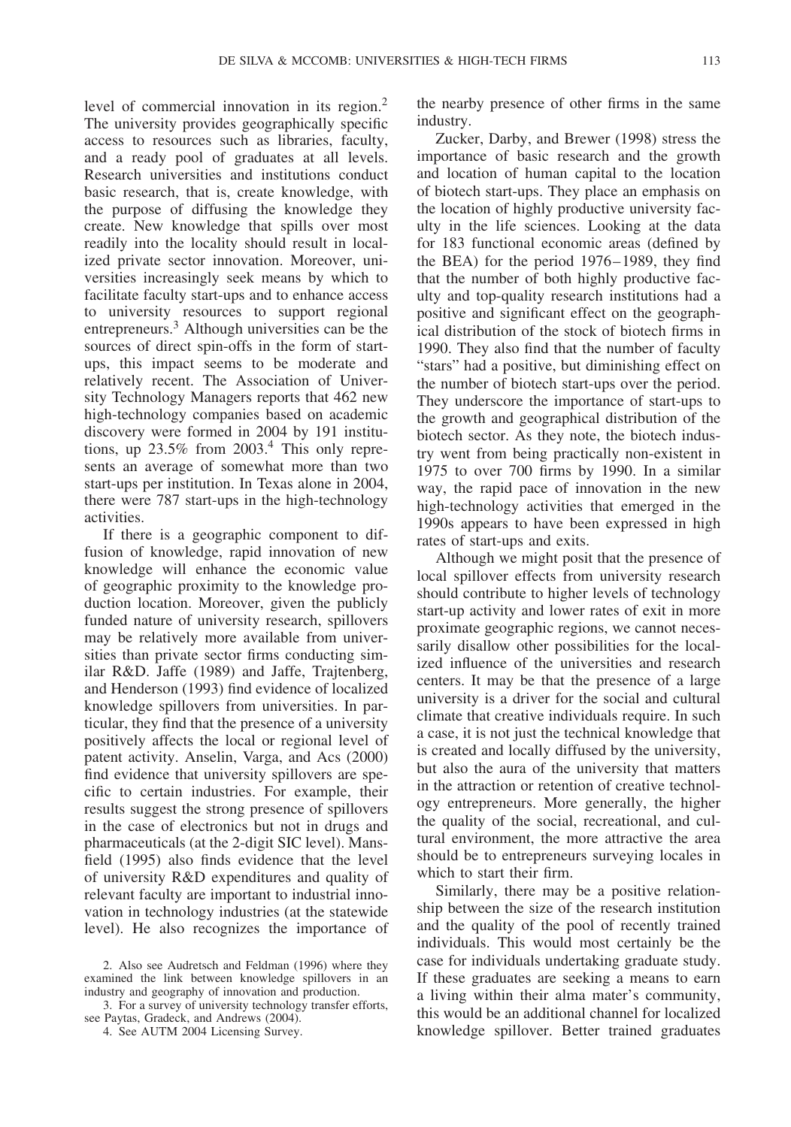level of commercial innovation in its region.<sup>2</sup> The university provides geographically specific access to resources such as libraries, faculty, and a ready pool of graduates at all levels. Research universities and institutions conduct basic research, that is, create knowledge, with the purpose of diffusing the knowledge they create. New knowledge that spills over most readily into the locality should result in localized private sector innovation. Moreover, universities increasingly seek means by which to facilitate faculty start-ups and to enhance access to university resources to support regional entrepreneurs.3 Although universities can be the sources of direct spin-offs in the form of startups, this impact seems to be moderate and relatively recent. The Association of University Technology Managers reports that 462 new high-technology companies based on academic discovery were formed in 2004 by 191 institutions, up  $23.5\%$  from  $2003<sup>4</sup>$ . This only represents an average of somewhat more than two start-ups per institution. In Texas alone in 2004, there were 787 start-ups in the high-technology activities.

If there is a geographic component to diffusion of knowledge, rapid innovation of new knowledge will enhance the economic value of geographic proximity to the knowledge production location. Moreover, given the publicly funded nature of university research, spillovers may be relatively more available from universities than private sector firms conducting similar R&D. Jaffe (1989) and Jaffe, Trajtenberg, and Henderson (1993) find evidence of localized knowledge spillovers from universities. In particular, they find that the presence of a university positively affects the local or regional level of patent activity. Anselin, Varga, and Acs (2000) find evidence that university spillovers are specific to certain industries. For example, their results suggest the strong presence of spillovers in the case of electronics but not in drugs and pharmaceuticals (at the 2-digit SIC level). Mansfield (1995) also finds evidence that the level of university R&D expenditures and quality of relevant faculty are important to industrial innovation in technology industries (at the statewide level). He also recognizes the importance of the nearby presence of other firms in the same industry.

Zucker, Darby, and Brewer (1998) stress the importance of basic research and the growth and location of human capital to the location of biotech start-ups. They place an emphasis on the location of highly productive university faculty in the life sciences. Looking at the data for 183 functional economic areas (defined by the BEA) for the period 1976–1989, they find that the number of both highly productive faculty and top-quality research institutions had a positive and significant effect on the geographical distribution of the stock of biotech firms in 1990. They also find that the number of faculty "stars" had a positive, but diminishing effect on the number of biotech start-ups over the period. They underscore the importance of start-ups to the growth and geographical distribution of the biotech sector. As they note, the biotech industry went from being practically non-existent in 1975 to over 700 firms by 1990. In a similar way, the rapid pace of innovation in the new high-technology activities that emerged in the 1990s appears to have been expressed in high rates of start-ups and exits.

Although we might posit that the presence of local spillover effects from university research should contribute to higher levels of technology start-up activity and lower rates of exit in more proximate geographic regions, we cannot necessarily disallow other possibilities for the localized influence of the universities and research centers. It may be that the presence of a large university is a driver for the social and cultural climate that creative individuals require. In such a case, it is not just the technical knowledge that is created and locally diffused by the university, but also the aura of the university that matters in the attraction or retention of creative technology entrepreneurs. More generally, the higher the quality of the social, recreational, and cultural environment, the more attractive the area should be to entrepreneurs surveying locales in which to start their firm.

Similarly, there may be a positive relationship between the size of the research institution and the quality of the pool of recently trained individuals. This would most certainly be the case for individuals undertaking graduate study. If these graduates are seeking a means to earn a living within their alma mater's community, this would be an additional channel for localized knowledge spillover. Better trained graduates

<sup>2.</sup> Also see Audretsch and Feldman (1996) where they examined the link between knowledge spillovers in an industry and geography of innovation and production.

<sup>3.</sup> For a survey of university technology transfer efforts, see Paytas, Gradeck, and Andrews (2004).

<sup>4.</sup> See AUTM 2004 Licensing Survey.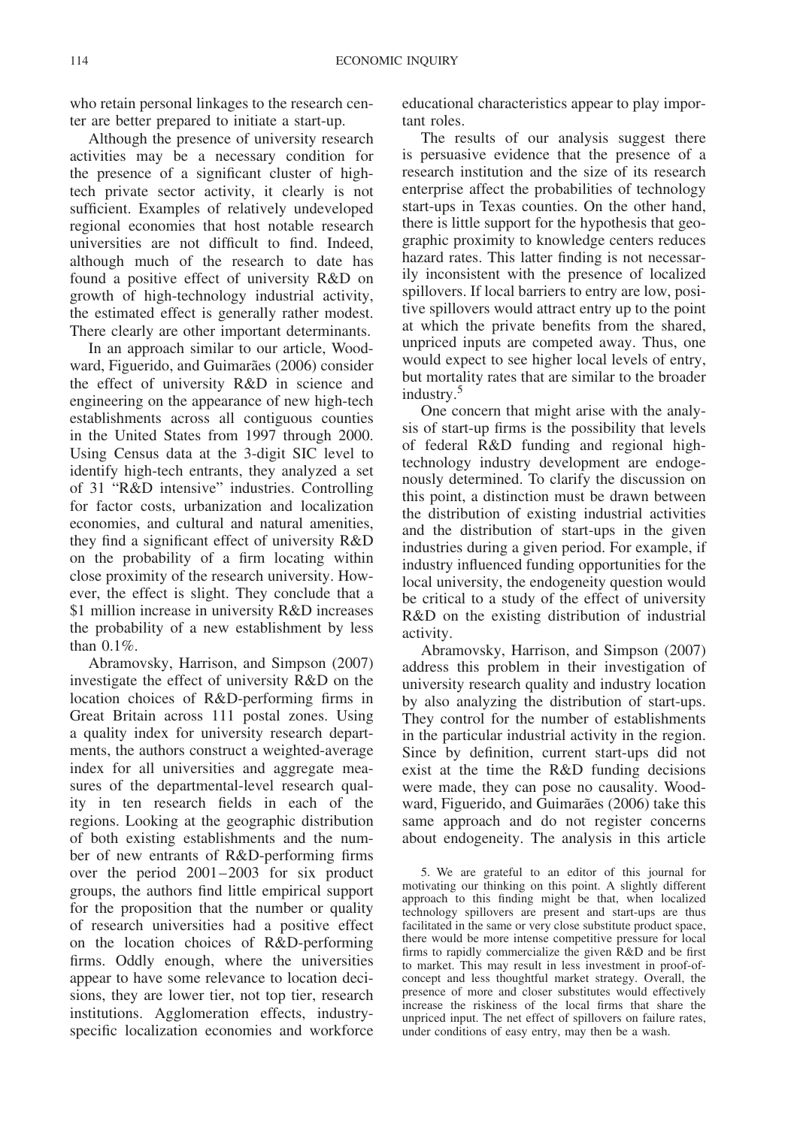who retain personal linkages to the research center are better prepared to initiate a start-up.

Although the presence of university research activities may be a necessary condition for the presence of a significant cluster of hightech private sector activity, it clearly is not sufficient. Examples of relatively undeveloped regional economies that host notable research universities are not difficult to find. Indeed, although much of the research to date has found a positive effect of university R&D on growth of high-technology industrial activity, the estimated effect is generally rather modest. There clearly are other important determinants.

In an approach similar to our article, Woodward, Figuerido, and Guimarães (2006) consider the effect of university R&D in science and engineering on the appearance of new high-tech establishments across all contiguous counties in the United States from 1997 through 2000. Using Census data at the 3-digit SIC level to identify high-tech entrants, they analyzed a set of 31 "R&D intensive" industries. Controlling for factor costs, urbanization and localization economies, and cultural and natural amenities, they find a significant effect of university R&D on the probability of a firm locating within close proximity of the research university. However, the effect is slight. They conclude that a \$1 million increase in university R&D increases the probability of a new establishment by less than 0.1%.

Abramovsky, Harrison, and Simpson (2007) investigate the effect of university R&D on the location choices of R&D-performing firms in Great Britain across 111 postal zones. Using a quality index for university research departments, the authors construct a weighted-average index for all universities and aggregate measures of the departmental-level research quality in ten research fields in each of the regions. Looking at the geographic distribution of both existing establishments and the number of new entrants of R&D-performing firms over the period 2001–2003 for six product groups, the authors find little empirical support for the proposition that the number or quality of research universities had a positive effect on the location choices of R&D-performing firms. Oddly enough, where the universities appear to have some relevance to location decisions, they are lower tier, not top tier, research institutions. Agglomeration effects, industryspecific localization economies and workforce

educational characteristics appear to play important roles.

The results of our analysis suggest there is persuasive evidence that the presence of a research institution and the size of its research enterprise affect the probabilities of technology start-ups in Texas counties. On the other hand, there is little support for the hypothesis that geographic proximity to knowledge centers reduces hazard rates. This latter finding is not necessarily inconsistent with the presence of localized spillovers. If local barriers to entry are low, positive spillovers would attract entry up to the point at which the private benefits from the shared, unpriced inputs are competed away. Thus, one would expect to see higher local levels of entry, but mortality rates that are similar to the broader industry.<sup>5</sup>

One concern that might arise with the analysis of start-up firms is the possibility that levels of federal R&D funding and regional hightechnology industry development are endogenously determined. To clarify the discussion on this point, a distinction must be drawn between the distribution of existing industrial activities and the distribution of start-ups in the given industries during a given period. For example, if industry influenced funding opportunities for the local university, the endogeneity question would be critical to a study of the effect of university R&D on the existing distribution of industrial activity.

Abramovsky, Harrison, and Simpson (2007) address this problem in their investigation of university research quality and industry location by also analyzing the distribution of start-ups. They control for the number of establishments in the particular industrial activity in the region. Since by definition, current start-ups did not exist at the time the R&D funding decisions were made, they can pose no causality. Woodward, Figuerido, and Guimarães (2006) take this same approach and do not register concerns about endogeneity. The analysis in this article

5. We are grateful to an editor of this journal for motivating our thinking on this point. A slightly different approach to this finding might be that, when localized technology spillovers are present and start-ups are thus facilitated in the same or very close substitute product space, there would be more intense competitive pressure for local firms to rapidly commercialize the given R&D and be first to market. This may result in less investment in proof-ofconcept and less thoughtful market strategy. Overall, the presence of more and closer substitutes would effectively increase the riskiness of the local firms that share the unpriced input. The net effect of spillovers on failure rates, under conditions of easy entry, may then be a wash.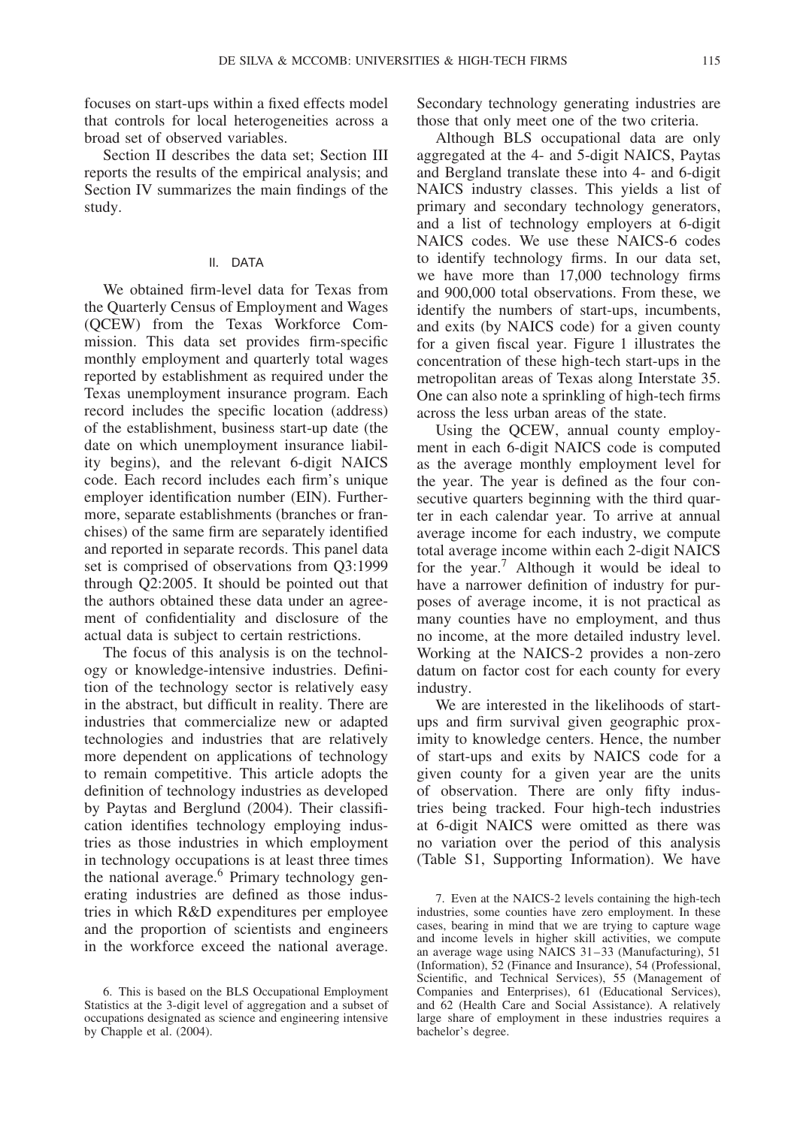focuses on start-ups within a fixed effects model that controls for local heterogeneities across a broad set of observed variables.

Section II describes the data set; Section III reports the results of the empirical analysis; and Section IV summarizes the main findings of the study.

### II. DATA

We obtained firm-level data for Texas from the Quarterly Census of Employment and Wages (QCEW) from the Texas Workforce Commission. This data set provides firm-specific monthly employment and quarterly total wages reported by establishment as required under the Texas unemployment insurance program. Each record includes the specific location (address) of the establishment, business start-up date (the date on which unemployment insurance liability begins), and the relevant 6-digit NAICS code. Each record includes each firm's unique employer identification number (EIN). Furthermore, separate establishments (branches or franchises) of the same firm are separately identified and reported in separate records. This panel data set is comprised of observations from Q3:1999 through Q2:2005. It should be pointed out that the authors obtained these data under an agreement of confidentiality and disclosure of the actual data is subject to certain restrictions.

The focus of this analysis is on the technology or knowledge-intensive industries. Definition of the technology sector is relatively easy in the abstract, but difficult in reality. There are industries that commercialize new or adapted technologies and industries that are relatively more dependent on applications of technology to remain competitive. This article adopts the definition of technology industries as developed by Paytas and Berglund (2004). Their classification identifies technology employing industries as those industries in which employment in technology occupations is at least three times the national average.<sup>6</sup> Primary technology generating industries are defined as those industries in which R&D expenditures per employee and the proportion of scientists and engineers in the workforce exceed the national average. Secondary technology generating industries are those that only meet one of the two criteria.

Although BLS occupational data are only aggregated at the 4- and 5-digit NAICS, Paytas and Bergland translate these into 4- and 6-digit NAICS industry classes. This yields a list of primary and secondary technology generators, and a list of technology employers at 6-digit NAICS codes. We use these NAICS-6 codes to identify technology firms. In our data set, we have more than 17,000 technology firms and 900,000 total observations. From these, we identify the numbers of start-ups, incumbents, and exits (by NAICS code) for a given county for a given fiscal year. Figure 1 illustrates the concentration of these high-tech start-ups in the metropolitan areas of Texas along Interstate 35. One can also note a sprinkling of high-tech firms across the less urban areas of the state.

Using the QCEW, annual county employment in each 6-digit NAICS code is computed as the average monthly employment level for the year. The year is defined as the four consecutive quarters beginning with the third quarter in each calendar year. To arrive at annual average income for each industry, we compute total average income within each 2-digit NAICS for the year.<sup>7</sup> Although it would be ideal to have a narrower definition of industry for purposes of average income, it is not practical as many counties have no employment, and thus no income, at the more detailed industry level. Working at the NAICS-2 provides a non-zero datum on factor cost for each county for every industry.

We are interested in the likelihoods of startups and firm survival given geographic proximity to knowledge centers. Hence, the number of start-ups and exits by NAICS code for a given county for a given year are the units of observation. There are only fifty industries being tracked. Four high-tech industries at 6-digit NAICS were omitted as there was no variation over the period of this analysis (Table S1, Supporting Information). We have

<sup>6.</sup> This is based on the BLS Occupational Employment Statistics at the 3-digit level of aggregation and a subset of occupations designated as science and engineering intensive by Chapple et al. (2004).

<sup>7.</sup> Even at the NAICS-2 levels containing the high-tech industries, some counties have zero employment. In these cases, bearing in mind that we are trying to capture wage and income levels in higher skill activities, we compute an average wage using NAICS 31–33 (Manufacturing), 51 (Information), 52 (Finance and Insurance), 54 (Professional, Scientific, and Technical Services), 55 (Management of Companies and Enterprises), 61 (Educational Services), and 62 (Health Care and Social Assistance). A relatively large share of employment in these industries requires a bachelor's degree.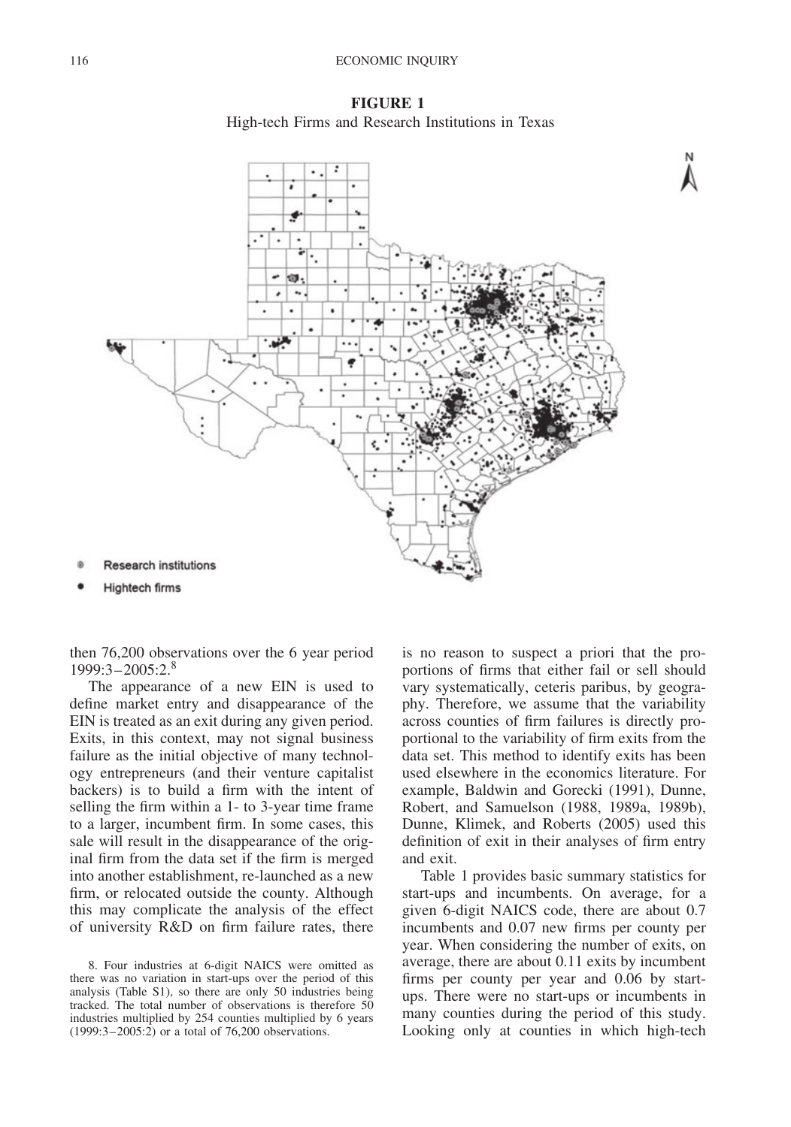**FIGURE 1** High-tech Firms and Research Institutions in Texas



**Hightech firms** 

then 76,200 observations over the 6 year period 1999:3–2005:2.<sup>8</sup>

The appearance of a new EIN is used to define market entry and disappearance of the EIN is treated as an exit during any given period. Exits, in this context, may not signal business failure as the initial objective of many technology entrepreneurs (and their venture capitalist backers) is to build a firm with the intent of selling the firm within a 1- to 3-year time frame to a larger, incumbent firm. In some cases, this sale will result in the disappearance of the original firm from the data set if the firm is merged into another establishment, re-launched as a new firm, or relocated outside the county. Although this may complicate the analysis of the effect of university R&D on firm failure rates, there

is no reason to suspect a priori that the proportions of firms that either fail or sell should vary systematically, ceteris paribus, by geography. Therefore, we assume that the variability across counties of firm failures is directly proportional to the variability of firm exits from the data set. This method to identify exits has been used elsewhere in the economics literature. For example, Baldwin and Gorecki (1991), Dunne, Robert, and Samuelson (1988, 1989a, 1989b), Dunne, Klimek, and Roberts (2005) used this definition of exit in their analyses of firm entry and exit.

Table 1 provides basic summary statistics for start-ups and incumbents. On average, for a given 6-digit NAICS code, there are about 0.7 incumbents and 0.07 new firms per county per year. When considering the number of exits, on average, there are about 0.11 exits by incumbent firms per county per year and 0.06 by startups. There were no start-ups or incumbents in many counties during the period of this study. Looking only at counties in which high-tech

<sup>8.</sup> Four industries at 6-digit NAICS were omitted as there was no variation in start-ups over the period of this analysis (Table S1), so there are only 50 industries being tracked. The total number of observations is therefore 50 industries multiplied by 254 counties multiplied by 6 years (1999:3–2005:2) or a total of 76,200 observations.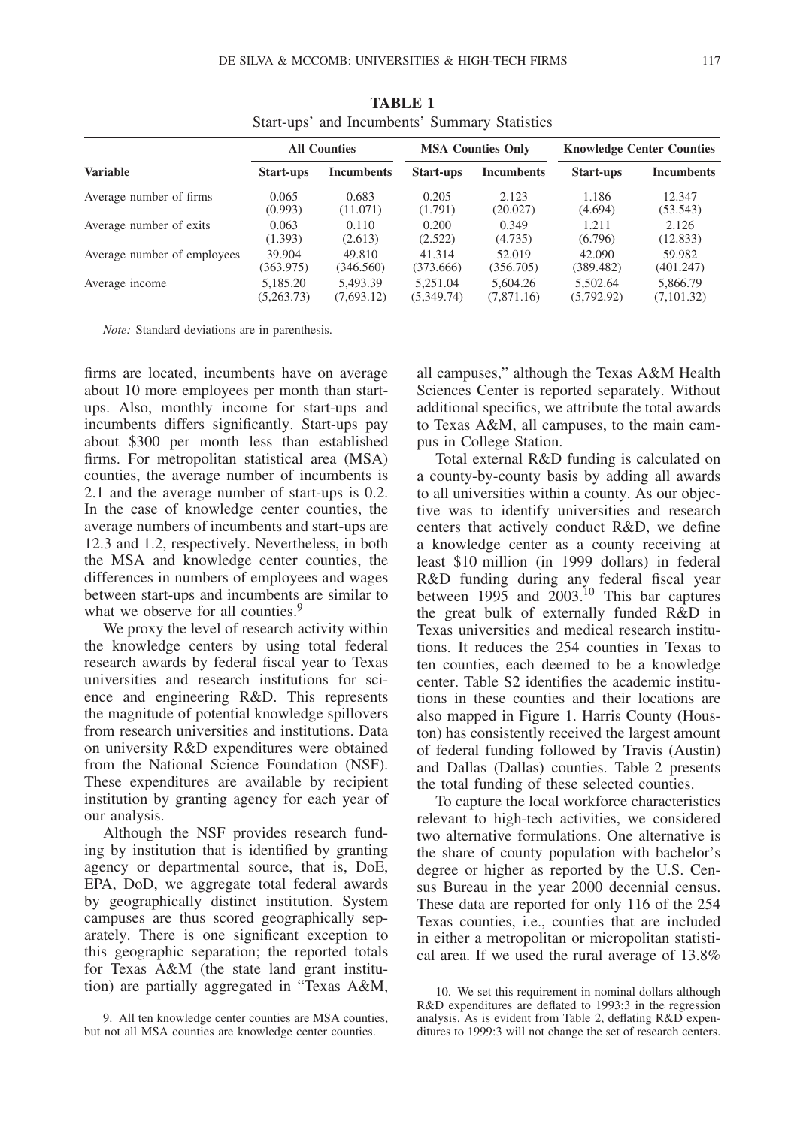|                             | <b>All Counties</b> |                   | <b>MSA Counties Only</b> |                   | <b>Knowledge Center Counties</b> |                   |
|-----------------------------|---------------------|-------------------|--------------------------|-------------------|----------------------------------|-------------------|
| <b>Variable</b>             | Start-ups           | <b>Incumbents</b> | Start-ups                | <b>Incumbents</b> | <b>Start-ups</b>                 | <b>Incumbents</b> |
| Average number of firms     | 0.065               | 0.683             | 0.205                    | 2.123             | 1.186                            | 12.347            |
|                             | (0.993)             | (11.071)          | (1.791)                  | (20.027)          | (4.694)                          | (53.543)          |
| Average number of exits     | 0.063               | 0.110             | 0.200                    | 0.349             | 1.211                            | 2.126             |
|                             | (1.393)             | (2.613)           | (2.522)                  | (4.735)           | (6.796)                          | (12.833)          |
| Average number of employees | 39.904              | 49.810            | 41.314                   | 52.019            | 42.090                           | 59.982            |
|                             | (363.975)           | (346.560)         | (373.666)                | (356.705)         | (389.482)                        | (401.247)         |
| Average income              | 5.185.20            | 5.493.39          | 5.251.04                 | 5.604.26          | 5.502.64                         | 5,866.79          |
|                             | (5,263.73)          | (7,693.12)        | (5,349.74)               | (7,871.16)        | (5,792.92)                       | (7,101.32)        |

**TABLE 1** Start-ups' and Incumbents' Summary Statistics

*Note:* Standard deviations are in parenthesis.

firms are located, incumbents have on average about 10 more employees per month than startups. Also, monthly income for start-ups and incumbents differs significantly. Start-ups pay about \$300 per month less than established firms. For metropolitan statistical area (MSA) counties, the average number of incumbents is 2.1 and the average number of start-ups is 0.2. In the case of knowledge center counties, the average numbers of incumbents and start-ups are 12.3 and 1.2, respectively. Nevertheless, in both the MSA and knowledge center counties, the differences in numbers of employees and wages between start-ups and incumbents are similar to what we observe for all counties.<sup>9</sup>

We proxy the level of research activity within the knowledge centers by using total federal research awards by federal fiscal year to Texas universities and research institutions for science and engineering R&D. This represents the magnitude of potential knowledge spillovers from research universities and institutions. Data on university R&D expenditures were obtained from the National Science Foundation (NSF). These expenditures are available by recipient institution by granting agency for each year of our analysis.

Although the NSF provides research funding by institution that is identified by granting agency or departmental source, that is, DoE, EPA, DoD, we aggregate total federal awards by geographically distinct institution. System campuses are thus scored geographically separately. There is one significant exception to this geographic separation; the reported totals for Texas A&M (the state land grant institution) are partially aggregated in "Texas A&M, all campuses," although the Texas A&M Health Sciences Center is reported separately. Without additional specifics, we attribute the total awards to Texas A&M, all campuses, to the main campus in College Station.

Total external R&D funding is calculated on a county-by-county basis by adding all awards to all universities within a county. As our objective was to identify universities and research centers that actively conduct R&D, we define a knowledge center as a county receiving at least \$10 million (in 1999 dollars) in federal R&D funding during any federal fiscal year between  $1995$  and  $2003$ .<sup>10</sup> This bar captures the great bulk of externally funded R&D in Texas universities and medical research institutions. It reduces the 254 counties in Texas to ten counties, each deemed to be a knowledge center. Table S2 identifies the academic institutions in these counties and their locations are also mapped in Figure 1. Harris County (Houston) has consistently received the largest amount of federal funding followed by Travis (Austin) and Dallas (Dallas) counties. Table 2 presents the total funding of these selected counties.

To capture the local workforce characteristics relevant to high-tech activities, we considered two alternative formulations. One alternative is the share of county population with bachelor's degree or higher as reported by the U.S. Census Bureau in the year 2000 decennial census. These data are reported for only 116 of the 254 Texas counties, i.e., counties that are included in either a metropolitan or micropolitan statistical area. If we used the rural average of 13.8%

<sup>9.</sup> All ten knowledge center counties are MSA counties, but not all MSA counties are knowledge center counties.

<sup>10.</sup> We set this requirement in nominal dollars although R&D expenditures are deflated to 1993:3 in the regression analysis. As is evident from Table 2, deflating R&D expenditures to 1999:3 will not change the set of research centers.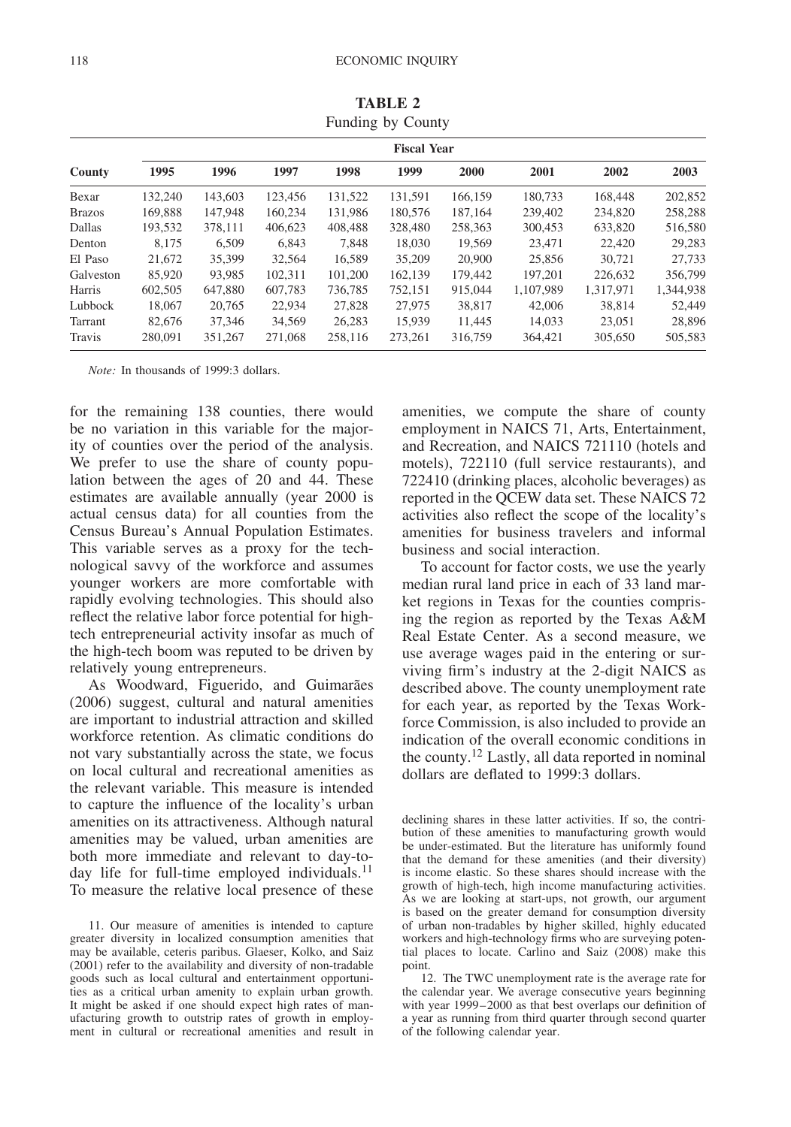| Funding by County |         |         |         |         |                    |         |           |           |           |
|-------------------|---------|---------|---------|---------|--------------------|---------|-----------|-----------|-----------|
|                   |         |         |         |         | <b>Fiscal Year</b> |         |           |           |           |
| County            | 1995    | 1996    | 1997    | 1998    | 1999               | 2000    | 2001      | 2002      | 2003      |
| Bexar             | 132,240 | 143,603 | 123,456 | 131,522 | 131.591            | 166.159 | 180,733   | 168,448   | 202,852   |
| <b>Brazos</b>     | 169.888 | 147,948 | 160,234 | 131.986 | 180,576            | 187.164 | 239,402   | 234,820   | 258,288   |
| Dallas            | 193,532 | 378,111 | 406,623 | 408,488 | 328,480            | 258,363 | 300,453   | 633,820   | 516,580   |
| Denton            | 8,175   | 6,509   | 6,843   | 7.848   | 18,030             | 19,569  | 23,471    | 22,420    | 29,283    |
| El Paso           | 21,672  | 35,399  | 32,564  | 16,589  | 35,209             | 20,900  | 25,856    | 30.721    | 27,733    |
| Galveston         | 85,920  | 93.985  | 102.311 | 101.200 | 162,139            | 179,442 | 197,201   | 226,632   | 356,799   |
| Harris            | 602,505 | 647,880 | 607,783 | 736.785 | 752,151            | 915,044 | 1,107,989 | 1,317,971 | 1,344,938 |
| Lubbock           | 18,067  | 20,765  | 22,934  | 27,828  | 27,975             | 38,817  | 42,006    | 38.814    | 52,449    |
| Tarrant           | 82,676  | 37.346  | 34.569  | 26.283  | 15.939             | 11.445  | 14.033    | 23.051    | 28,896    |
| Travis            | 280,091 | 351,267 | 271,068 | 258,116 | 273.261            | 316,759 | 364,421   | 305,650   | 505,583   |

**TABLE 2** Funding by County

*Note:* In thousands of 1999:3 dollars.

for the remaining 138 counties, there would be no variation in this variable for the majority of counties over the period of the analysis. We prefer to use the share of county population between the ages of 20 and 44. These estimates are available annually (year 2000 is actual census data) for all counties from the Census Bureau's Annual Population Estimates. This variable serves as a proxy for the technological savvy of the workforce and assumes younger workers are more comfortable with rapidly evolving technologies. This should also reflect the relative labor force potential for hightech entrepreneurial activity insofar as much of the high-tech boom was reputed to be driven by relatively young entrepreneurs.

As Woodward, Figuerido, and Guimarães (2006) suggest, cultural and natural amenities are important to industrial attraction and skilled workforce retention. As climatic conditions do not vary substantially across the state, we focus on local cultural and recreational amenities as the relevant variable. This measure is intended to capture the influence of the locality's urban amenities on its attractiveness. Although natural amenities may be valued, urban amenities are both more immediate and relevant to day-today life for full-time employed individuals. $^{11}$ To measure the relative local presence of these

11. Our measure of amenities is intended to capture greater diversity in localized consumption amenities that may be available, ceteris paribus. Glaeser, Kolko, and Saiz (2001) refer to the availability and diversity of non-tradable goods such as local cultural and entertainment opportunities as a critical urban amenity to explain urban growth. It might be asked if one should expect high rates of manufacturing growth to outstrip rates of growth in employment in cultural or recreational amenities and result in

amenities, we compute the share of county employment in NAICS 71, Arts, Entertainment, and Recreation, and NAICS 721110 (hotels and motels), 722110 (full service restaurants), and 722410 (drinking places, alcoholic beverages) as reported in the QCEW data set. These NAICS 72 activities also reflect the scope of the locality's amenities for business travelers and informal business and social interaction.

To account for factor costs, we use the yearly median rural land price in each of 33 land market regions in Texas for the counties comprising the region as reported by the Texas A&M Real Estate Center. As a second measure, we use average wages paid in the entering or surviving firm's industry at the 2-digit NAICS as described above. The county unemployment rate for each year, as reported by the Texas Workforce Commission, is also included to provide an indication of the overall economic conditions in the county.<sup>12</sup> Lastly, all data reported in nominal dollars are deflated to 1999:3 dollars.

declining shares in these latter activities. If so, the contribution of these amenities to manufacturing growth would be under-estimated. But the literature has uniformly found that the demand for these amenities (and their diversity) is income elastic. So these shares should increase with the growth of high-tech, high income manufacturing activities. As we are looking at start-ups, not growth, our argument is based on the greater demand for consumption diversity of urban non-tradables by higher skilled, highly educated workers and high-technology firms who are surveying potential places to locate. Carlino and Saiz (2008) make this point.

12. The TWC unemployment rate is the average rate for the calendar year. We average consecutive years beginning with year 1999–2000 as that best overlaps our definition of a year as running from third quarter through second quarter of the following calendar year.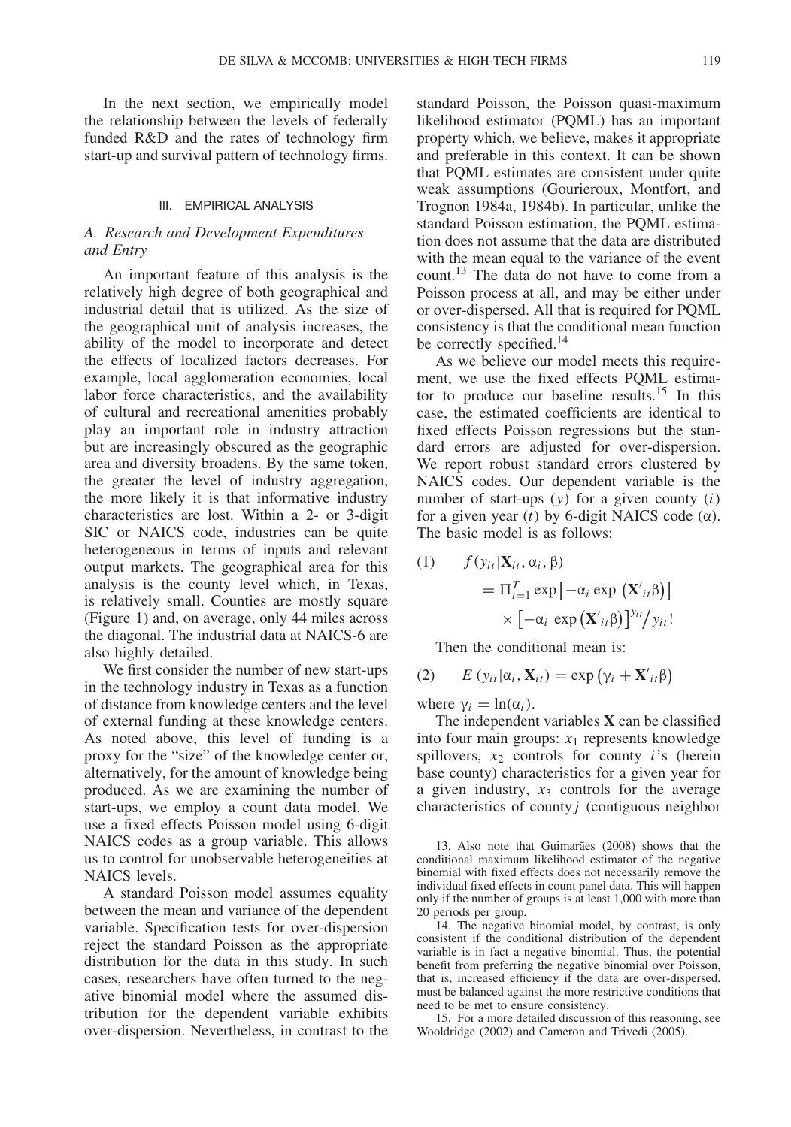In the next section, we empirically model the relationship between the levels of federally funded R&D and the rates of technology firm start-up and survival pattern of technology firms.

### III. EMPIRICAL ANALYSIS

## *A. Research and Development Expenditures and Entry*

An important feature of this analysis is the relatively high degree of both geographical and industrial detail that is utilized. As the size of the geographical unit of analysis increases, the ability of the model to incorporate and detect the effects of localized factors decreases. For example, local agglomeration economies, local labor force characteristics, and the availability of cultural and recreational amenities probably play an important role in industry attraction but are increasingly obscured as the geographic area and diversity broadens. By the same token, the greater the level of industry aggregation, the more likely it is that informative industry characteristics are lost. Within a 2- or 3-digit SIC or NAICS code, industries can be quite heterogeneous in terms of inputs and relevant output markets. The geographical area for this analysis is the county level which, in Texas, is relatively small. Counties are mostly square (Figure 1) and, on average, only 44 miles across the diagonal. The industrial data at NAICS-6 are also highly detailed.

We first consider the number of new start-ups in the technology industry in Texas as a function of distance from knowledge centers and the level of external funding at these knowledge centers. As noted above, this level of funding is a proxy for the "size" of the knowledge center or, alternatively, for the amount of knowledge being produced. As we are examining the number of start-ups, we employ a count data model. We use a fixed effects Poisson model using 6-digit NAICS codes as a group variable. This allows us to control for unobservable heterogeneities at NAICS levels.

A standard Poisson model assumes equality between the mean and variance of the dependent variable. Specification tests for over-dispersion reject the standard Poisson as the appropriate distribution for the data in this study. In such cases, researchers have often turned to the negative binomial model where the assumed distribution for the dependent variable exhibits over-dispersion. Nevertheless, in contrast to the standard Poisson, the Poisson quasi-maximum likelihood estimator (PQML) has an important property which, we believe, makes it appropriate and preferable in this context. It can be shown that PQML estimates are consistent under quite weak assumptions (Gourieroux, Montfort, and Trognon 1984a, 1984b). In particular, unlike the standard Poisson estimation, the PQML estimation does not assume that the data are distributed with the mean equal to the variance of the event count.<sup>13</sup> The data do not have to come from a Poisson process at all, and may be either under or over-dispersed. All that is required for PQML consistency is that the conditional mean function be correctly specified.<sup>14</sup>

As we believe our model meets this requirement, we use the fixed effects PQML estimator to produce our baseline results.<sup>15</sup> In this case, the estimated coefficients are identical to fixed effects Poisson regressions but the standard errors are adjusted for over-dispersion. We report robust standard errors clustered by NAICS codes. Our dependent variable is the number of start-ups (*y)* for a given county (*i)* for a given year  $(t)$  by 6-digit NAICS code  $(\alpha)$ . The basic model is as follows:

(1) 
$$
f(y_{it}|\mathbf{X}_{it}, \alpha_i, \beta)
$$

$$
= \Pi_{t=1}^T \exp \left[ -\alpha_i \exp \left( \mathbf{X}_{it}' \beta \right) \right]
$$

$$
\times \left[ -\alpha_i \exp \left( \mathbf{X}_{it}' \beta \right) \right]^{y_{it}} / y_{it}!
$$

Then the conditional mean is:

$$
(2) \qquad E(y_{it}|\alpha_i, \mathbf{X}_{it}) = \exp(\gamma_i + \mathbf{X}_{it}^{\prime}\beta)
$$

where  $\gamma_i = \ln(\alpha_i)$ .

The independent variables **X** can be classified into four main groups:  $x_1$  represents knowledge spillovers,  $x_2$  controls for county *i*'s (herein base county) characteristics for a given year for a given industry, *x*<sup>3</sup> controls for the average characteristics of county*j* (contiguous neighbor

13. Also note that Guimarães (2008) shows that the conditional maximum likelihood estimator of the negative binomial with fixed effects does not necessarily remove the individual fixed effects in count panel data. This will happen only if the number of groups is at least 1,000 with more than 20 periods per group.

14. The negative binomial model, by contrast, is only consistent if the conditional distribution of the dependent variable is in fact a negative binomial. Thus, the potential benefit from preferring the negative binomial over Poisson, that is, increased efficiency if the data are over-dispersed, must be balanced against the more restrictive conditions that need to be met to ensure consistency.

15. For a more detailed discussion of this reasoning, see Wooldridge (2002) and Cameron and Trivedi (2005).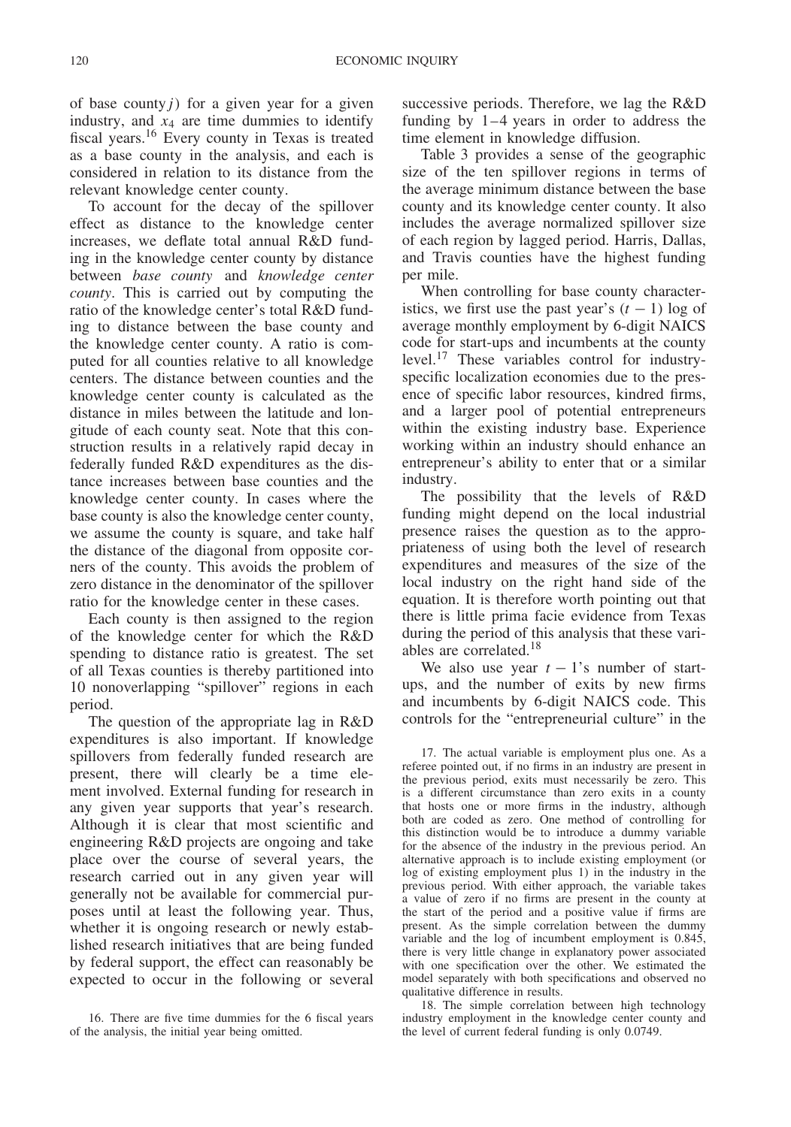of base county  $j$ ) for a given year for a given industry, and  $x_4$  are time dummies to identify fiscal years.16 Every county in Texas is treated as a base county in the analysis, and each is considered in relation to its distance from the relevant knowledge center county.

To account for the decay of the spillover effect as distance to the knowledge center increases, we deflate total annual R&D funding in the knowledge center county by distance between *base county* and *knowledge center county*. This is carried out by computing the ratio of the knowledge center's total R&D funding to distance between the base county and the knowledge center county. A ratio is computed for all counties relative to all knowledge centers. The distance between counties and the knowledge center county is calculated as the distance in miles between the latitude and longitude of each county seat. Note that this construction results in a relatively rapid decay in federally funded R&D expenditures as the distance increases between base counties and the knowledge center county. In cases where the base county is also the knowledge center county, we assume the county is square, and take half the distance of the diagonal from opposite corners of the county. This avoids the problem of zero distance in the denominator of the spillover ratio for the knowledge center in these cases.

Each county is then assigned to the region of the knowledge center for which the R&D spending to distance ratio is greatest. The set of all Texas counties is thereby partitioned into 10 nonoverlapping "spillover" regions in each period.

The question of the appropriate lag in R&D expenditures is also important. If knowledge spillovers from federally funded research are present, there will clearly be a time element involved. External funding for research in any given year supports that year's research. Although it is clear that most scientific and engineering R&D projects are ongoing and take place over the course of several years, the research carried out in any given year will generally not be available for commercial purposes until at least the following year. Thus, whether it is ongoing research or newly established research initiatives that are being funded by federal support, the effect can reasonably be expected to occur in the following or several successive periods. Therefore, we lag the R&D funding by 1–4 years in order to address the time element in knowledge diffusion.

Table 3 provides a sense of the geographic size of the ten spillover regions in terms of the average minimum distance between the base county and its knowledge center county. It also includes the average normalized spillover size of each region by lagged period. Harris, Dallas, and Travis counties have the highest funding per mile.

When controlling for base county characteristics, we first use the past year's  $(t - 1)$  log of average monthly employment by 6-digit NAICS code for start-ups and incumbents at the county level.<sup>17</sup> These variables control for industryspecific localization economies due to the presence of specific labor resources, kindred firms, and a larger pool of potential entrepreneurs within the existing industry base. Experience working within an industry should enhance an entrepreneur's ability to enter that or a similar industry.

The possibility that the levels of R&D funding might depend on the local industrial presence raises the question as to the appropriateness of using both the level of research expenditures and measures of the size of the local industry on the right hand side of the equation. It is therefore worth pointing out that there is little prima facie evidence from Texas during the period of this analysis that these variables are correlated.<sup>18</sup>

We also use year  $t - 1$ 's number of startups, and the number of exits by new firms and incumbents by 6-digit NAICS code. This controls for the "entrepreneurial culture" in the

18. The simple correlation between high technology industry employment in the knowledge center county and the level of current federal funding is only 0.0749.

<sup>16.</sup> There are five time dummies for the 6 fiscal years of the analysis, the initial year being omitted.

<sup>17.</sup> The actual variable is employment plus one. As a referee pointed out, if no firms in an industry are present in the previous period, exits must necessarily be zero. This is a different circumstance than zero exits in a county that hosts one or more firms in the industry, although both are coded as zero. One method of controlling for this distinction would be to introduce a dummy variable for the absence of the industry in the previous period. An alternative approach is to include existing employment (or log of existing employment plus 1) in the industry in the previous period. With either approach, the variable takes a value of zero if no firms are present in the county at the start of the period and a positive value if firms are present. As the simple correlation between the dummy variable and the log of incumbent employment is 0.845, there is very little change in explanatory power associated with one specification over the other. We estimated the model separately with both specifications and observed no qualitative difference in results.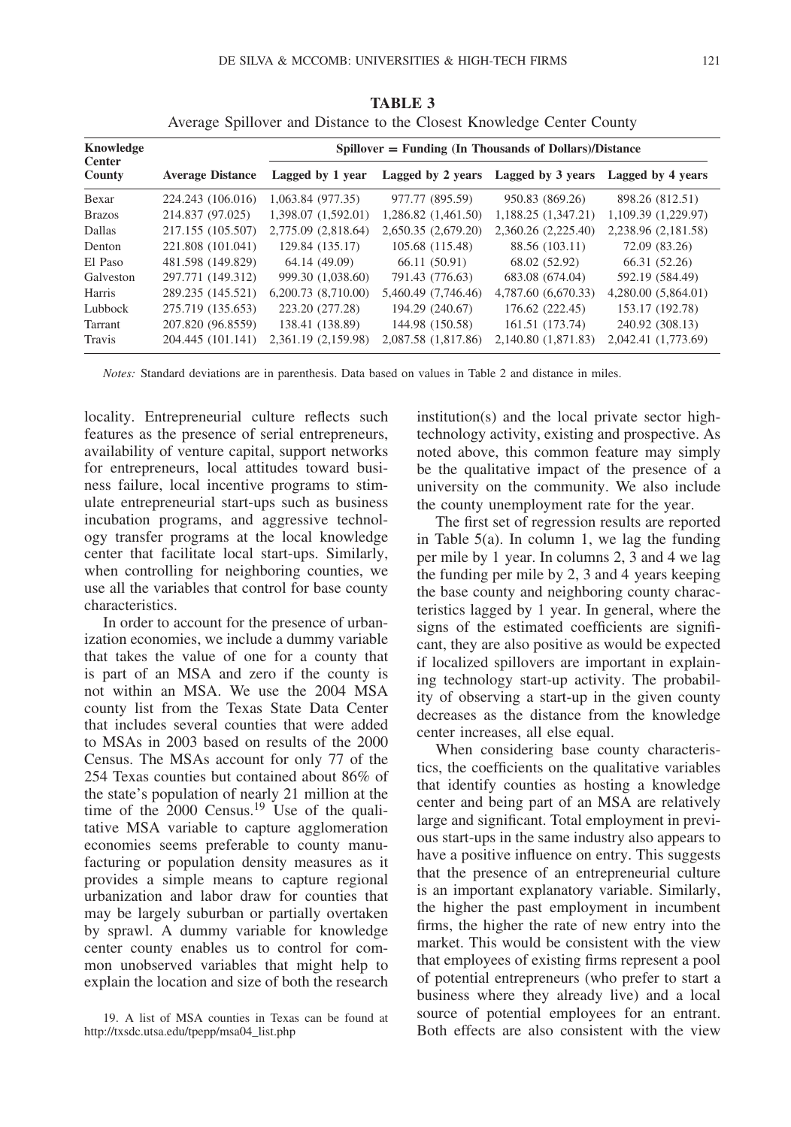| Knowledge<br><b>Center</b> |                         |                     | $Spillover = Funding (In \textit{Thomas of Dollars})/Distance$ |                     |                     |  |  |  |
|----------------------------|-------------------------|---------------------|----------------------------------------------------------------|---------------------|---------------------|--|--|--|
| County                     | <b>Average Distance</b> | Lagged by 1 year    | Lagged by 2 years                                              | Lagged by 3 years   | Lagged by 4 years   |  |  |  |
| Bexar                      | 224.243 (106.016)       | 1,063.84 (977.35)   | 977.77 (895.59)                                                | 950.83 (869.26)     | 898.26 (812.51)     |  |  |  |
| <b>Brazos</b>              | 214.837 (97.025)        | 1,398.07 (1,592.01) | 1,286.82 (1,461.50)                                            | 1,188.25 (1,347.21) | 1,109.39 (1,229.97) |  |  |  |
| Dallas                     | 217.155 (105.507)       | 2,775.09 (2,818.64) | 2,650.35 (2,679.20)                                            | 2,360.26 (2,225.40) | 2,238.96 (2,181.58) |  |  |  |
| Denton                     | 221.808 (101.041)       | 129.84 (135.17)     | 105.68 (115.48)                                                | 88.56 (103.11)      | 72.09 (83.26)       |  |  |  |
| El Paso                    | 481.598 (149.829)       | 64.14 (49.09)       | 66.11 (50.91)                                                  | 68.02 (52.92)       | 66.31 (52.26)       |  |  |  |
| Galveston                  | 297.771 (149.312)       | 999.30 (1,038.60)   | 791.43 (776.63)                                                | 683.08 (674.04)     | 592.19 (584.49)     |  |  |  |
| Harris                     | 289.235 (145.521)       | 6,200.73 (8,710.00) | 5,460.49 (7,746.46)                                            | 4,787.60 (6,670.33) | 4,280.00 (5,864.01) |  |  |  |
| Lubbock                    | 275.719 (135.653)       | 223.20 (277.28)     | 194.29 (240.67)                                                | 176.62 (222.45)     | 153.17 (192.78)     |  |  |  |
| Tarrant                    | 207.820 (96.8559)       | 138.41 (138.89)     | 144.98 (150.58)                                                | 161.51 (173.74)     | 240.92 (308.13)     |  |  |  |
| Travis                     | 204.445 (101.141)       | 2,361.19 (2,159.98) | 2,087.58 (1,817.86)                                            | 2,140.80 (1,871.83) | 2,042.41 (1,773.69) |  |  |  |

**TABLE 3** Average Spillover and Distance to the Closest Knowledge Center County

*Notes:* Standard deviations are in parenthesis. Data based on values in Table 2 and distance in miles.

locality. Entrepreneurial culture reflects such features as the presence of serial entrepreneurs, availability of venture capital, support networks for entrepreneurs, local attitudes toward business failure, local incentive programs to stimulate entrepreneurial start-ups such as business incubation programs, and aggressive technology transfer programs at the local knowledge center that facilitate local start-ups. Similarly, when controlling for neighboring counties, we use all the variables that control for base county characteristics.

In order to account for the presence of urbanization economies, we include a dummy variable that takes the value of one for a county that is part of an MSA and zero if the county is not within an MSA. We use the 2004 MSA county list from the Texas State Data Center that includes several counties that were added to MSAs in 2003 based on results of the 2000 Census. The MSAs account for only 77 of the 254 Texas counties but contained about 86% of the state's population of nearly 21 million at the time of the  $2000$  Census.<sup>19</sup> Use of the qualitative MSA variable to capture agglomeration economies seems preferable to county manufacturing or population density measures as it provides a simple means to capture regional urbanization and labor draw for counties that may be largely suburban or partially overtaken by sprawl. A dummy variable for knowledge center county enables us to control for common unobserved variables that might help to explain the location and size of both the research institution(s) and the local private sector hightechnology activity, existing and prospective. As noted above, this common feature may simply be the qualitative impact of the presence of a university on the community. We also include the county unemployment rate for the year.

The first set of regression results are reported in Table  $5(a)$ . In column 1, we lag the funding per mile by 1 year. In columns 2, 3 and 4 we lag the funding per mile by 2, 3 and 4 years keeping the base county and neighboring county characteristics lagged by 1 year. In general, where the signs of the estimated coefficients are significant, they are also positive as would be expected if localized spillovers are important in explaining technology start-up activity. The probability of observing a start-up in the given county decreases as the distance from the knowledge center increases, all else equal.

When considering base county characteristics, the coefficients on the qualitative variables that identify counties as hosting a knowledge center and being part of an MSA are relatively large and significant. Total employment in previous start-ups in the same industry also appears to have a positive influence on entry. This suggests that the presence of an entrepreneurial culture is an important explanatory variable. Similarly, the higher the past employment in incumbent firms, the higher the rate of new entry into the market. This would be consistent with the view that employees of existing firms represent a pool of potential entrepreneurs (who prefer to start a business where they already live) and a local source of potential employees for an entrant. Both effects are also consistent with the view

<sup>19.</sup> A list of MSA counties in Texas can be found at http://txsdc.utsa.edu/tpepp/msa04\_list.php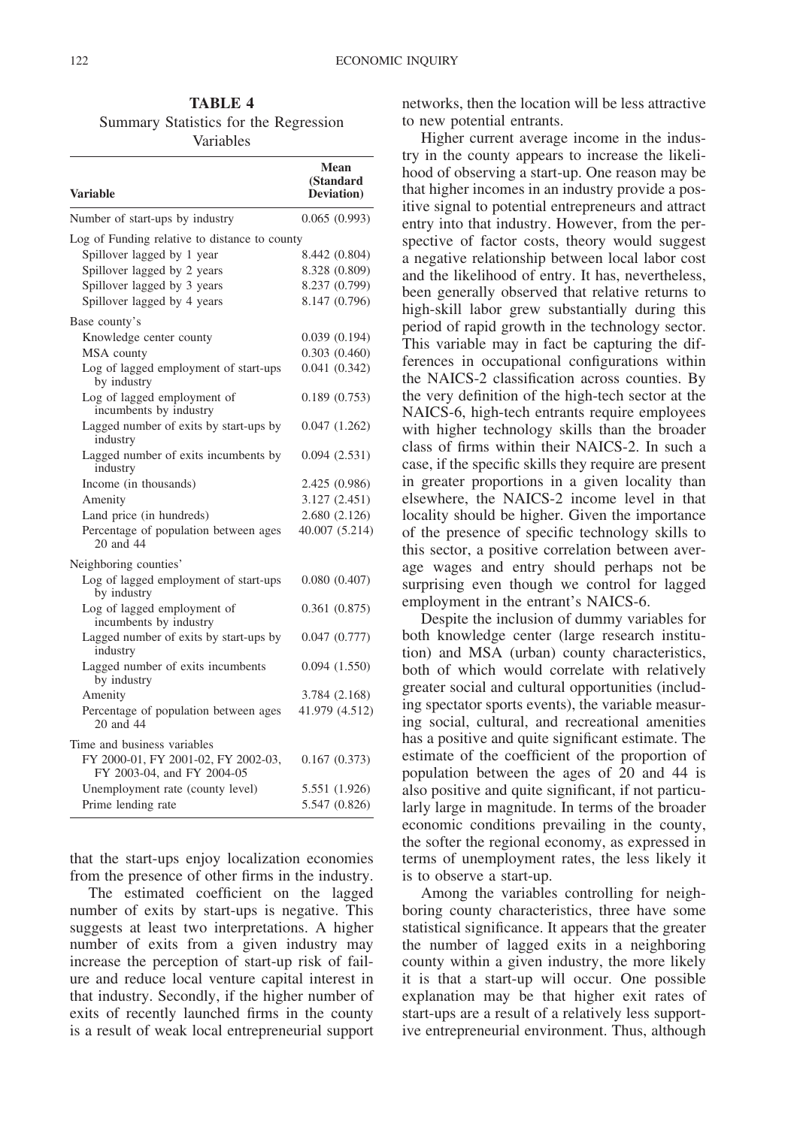**TABLE 4** Summary Statistics for the Regression Variables

| <b>Variable</b>                                                   | Mean<br>(Standard<br>Deviation) |
|-------------------------------------------------------------------|---------------------------------|
| Number of start-ups by industry                                   | 0.065(0.993)                    |
| Log of Funding relative to distance to county                     |                                 |
| Spillover lagged by 1 year                                        | 8.442 (0.804)                   |
| Spillover lagged by 2 years                                       | 8.328 (0.809)                   |
| Spillover lagged by 3 years                                       | 8.237 (0.799)                   |
| Spillover lagged by 4 years                                       | 8.147 (0.796)                   |
| Base county's                                                     |                                 |
| Knowledge center county                                           | 0.039 (0.194)                   |
| MSA county                                                        | 0.303(0.460)                    |
| Log of lagged employment of start-ups<br>by industry              | 0.041(0.342)                    |
| Log of lagged employment of<br>incumbents by industry             | 0.189(0.753)                    |
| Lagged number of exits by start-ups by<br>industry                | 0.047(1.262)                    |
| Lagged number of exits incumbents by<br>industry                  | 0.094(2.531)                    |
| Income (in thousands)                                             | 2.425 (0.986)                   |
| Amenity                                                           | 3.127 (2.451)                   |
| Land price (in hundreds)                                          | 2.680 (2.126)                   |
| Percentage of population between ages<br>20 and 44                | 40.007 (5.214)                  |
| Neighboring counties'                                             |                                 |
| Log of lagged employment of start-ups<br>by industry              | 0.080(0.407)                    |
| Log of lagged employment of<br>incumbents by industry             | 0.361 (0.875)                   |
| Lagged number of exits by start-ups by<br>industry                | 0.047(0.777)                    |
| Lagged number of exits incumbents<br>by industry                  | 0.094(1.550)                    |
| Amenity                                                           | 3.784 (2.168)                   |
| Percentage of population between ages<br>20 and 44                | 41.979 (4.512)                  |
| Time and business variables                                       |                                 |
| FY 2000-01, FY 2001-02, FY 2002-03,<br>FY 2003-04, and FY 2004-05 | 0.167(0.373)                    |
| Unemployment rate (county level)                                  | 5.551 (1.926)                   |
| Prime lending rate                                                | 5.547 (0.826)                   |

that the start-ups enjoy localization economies from the presence of other firms in the industry.

The estimated coefficient on the lagged number of exits by start-ups is negative. This suggests at least two interpretations. A higher number of exits from a given industry may increase the perception of start-up risk of failure and reduce local venture capital interest in that industry. Secondly, if the higher number of exits of recently launched firms in the county is a result of weak local entrepreneurial support networks, then the location will be less attractive to new potential entrants.

Higher current average income in the industry in the county appears to increase the likelihood of observing a start-up. One reason may be that higher incomes in an industry provide a positive signal to potential entrepreneurs and attract entry into that industry. However, from the perspective of factor costs, theory would suggest a negative relationship between local labor cost and the likelihood of entry. It has, nevertheless, been generally observed that relative returns to high-skill labor grew substantially during this period of rapid growth in the technology sector. This variable may in fact be capturing the differences in occupational configurations within the NAICS-2 classification across counties. By the very definition of the high-tech sector at the NAICS-6, high-tech entrants require employees with higher technology skills than the broader class of firms within their NAICS-2. In such a case, if the specific skills they require are present in greater proportions in a given locality than elsewhere, the NAICS-2 income level in that locality should be higher. Given the importance of the presence of specific technology skills to this sector, a positive correlation between average wages and entry should perhaps not be surprising even though we control for lagged employment in the entrant's NAICS-6.

Despite the inclusion of dummy variables for both knowledge center (large research institution) and MSA (urban) county characteristics, both of which would correlate with relatively greater social and cultural opportunities (including spectator sports events), the variable measuring social, cultural, and recreational amenities has a positive and quite significant estimate. The estimate of the coefficient of the proportion of population between the ages of 20 and 44 is also positive and quite significant, if not particularly large in magnitude. In terms of the broader economic conditions prevailing in the county, the softer the regional economy, as expressed in terms of unemployment rates, the less likely it is to observe a start-up.

Among the variables controlling for neighboring county characteristics, three have some statistical significance. It appears that the greater the number of lagged exits in a neighboring county within a given industry, the more likely it is that a start-up will occur. One possible explanation may be that higher exit rates of start-ups are a result of a relatively less supportive entrepreneurial environment. Thus, although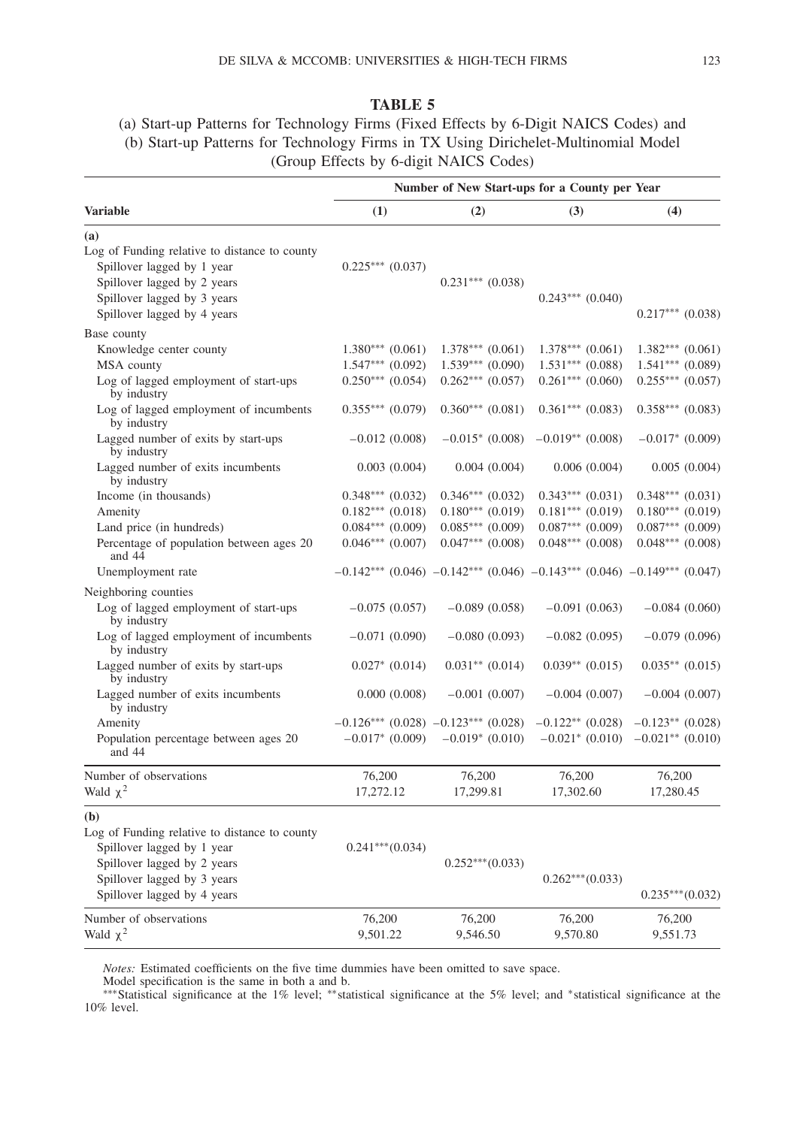## **TABLE 5**

| (a) Start-up Patterns for Technology Firms (Fixed Effects by 6-Digit NAICS Codes) and |
|---------------------------------------------------------------------------------------|
| (b) Start-up Patterns for Technology Firms in TX Using Dirichelet-Multinomial Model   |
| (Group Effects by 6-digit NAICS Codes)                                                |

|                                                       | Number of New Start-ups for a County per Year |                                         |                                                                                 |                                        |  |  |
|-------------------------------------------------------|-----------------------------------------------|-----------------------------------------|---------------------------------------------------------------------------------|----------------------------------------|--|--|
| <b>Variable</b>                                       | (1)                                           | (2)                                     | (3)                                                                             | (4)                                    |  |  |
| (a)                                                   |                                               |                                         |                                                                                 |                                        |  |  |
| Log of Funding relative to distance to county         |                                               |                                         |                                                                                 |                                        |  |  |
| Spillover lagged by 1 year                            | $0.225***(0.037)$                             |                                         |                                                                                 |                                        |  |  |
| Spillover lagged by 2 years                           |                                               | $0.231***$ $(0.038)$                    |                                                                                 |                                        |  |  |
| Spillover lagged by 3 years                           |                                               |                                         | $0.243***$ $(0.040)$                                                            |                                        |  |  |
| Spillover lagged by 4 years                           |                                               |                                         |                                                                                 | $0.217***$ $(0.038)$                   |  |  |
| Base county                                           |                                               |                                         |                                                                                 |                                        |  |  |
| Knowledge center county                               | $1.380***$ $(0.061)$                          | $1.378***$ $(0.061)$                    | $1.378***$ $(0.061)$                                                            | $1.382***$ $(0.061)$                   |  |  |
| MSA county                                            | $1.547***$ (0.092)                            | $1.539***$ (0.090)                      | $1.531***$ (0.088)                                                              | $1.541***$ (0.089)                     |  |  |
| Log of lagged employment of start-ups<br>by industry  | $0.250***$ $(0.054)$                          | $0.262***$ $(0.057)$                    | $0.261***$ $(0.060)$                                                            | $0.255***(0.057)$                      |  |  |
| Log of lagged employment of incumbents<br>by industry | $0.355***(0.079)$                             | $0.360***$ $(0.081)$                    | $0.361***(0.083)$                                                               | $0.358***(0.083)$                      |  |  |
| Lagged number of exits by start-ups<br>by industry    | $-0.012(0.008)$                               | $-0.015*(0.008)$                        | $-0.019**$ (0.008)                                                              | $-0.017*$ (0.009)                      |  |  |
| Lagged number of exits incumbents<br>by industry      | 0.003(0.004)                                  | 0.004(0.004)                            | 0.006(0.004)                                                                    | 0.005(0.004)                           |  |  |
| Income (in thousands)                                 | $0.348***$ $(0.032)$                          | $0.346***$ $(0.032)$                    | $0.343***$ $(0.031)$                                                            | $0.348***$ $(0.031)$                   |  |  |
| Amenity                                               | $0.182***$ $(0.018)$                          | $0.180***$ $(0.019)$                    | $0.181***$ (0.019)                                                              | $0.180***$ $(0.019)$                   |  |  |
| Land price (in hundreds)                              | $0.084***$ $(0.009)$                          | $0.085***(0.009)$                       | $0.087***$ $(0.009)$                                                            | $0.087***$ $(0.009)$                   |  |  |
| Percentage of population between ages 20<br>and 44    | $0.046***$ $(0.007)$                          | $0.047***$ $(0.008)$                    | $0.048***$ $(0.008)$                                                            | $0.048***$ $(0.008)$                   |  |  |
| Unemployment rate                                     |                                               |                                         | $-0.142***$ (0.046) $-0.142***$ (0.046) $-0.143***$ (0.046) $-0.149***$ (0.047) |                                        |  |  |
| Neighboring counties                                  |                                               |                                         |                                                                                 |                                        |  |  |
| Log of lagged employment of start-ups<br>by industry  | $-0.075(0.057)$                               | $-0.089(0.058)$                         | $-0.091(0.063)$                                                                 | $-0.084(0.060)$                        |  |  |
| Log of lagged employment of incumbents<br>by industry | $-0.071(0.090)$                               | $-0.080(0.093)$                         | $-0.082(0.095)$                                                                 | $-0.079(0.096)$                        |  |  |
| Lagged number of exits by start-ups<br>by industry    | $0.027*$ $(0.014)$                            | $0.031**$ (0.014)                       | $0.039**$ $(0.015)$                                                             | $0.035**$ (0.015)                      |  |  |
| Lagged number of exits incumbents<br>by industry      | 0.000(0.008)                                  | $-0.001(0.007)$                         | $-0.004(0.007)$                                                                 | $-0.004(0.007)$                        |  |  |
| Amenity                                               |                                               | $-0.126***$ (0.028) $-0.123***$ (0.028) |                                                                                 | $-0.122**$ (0.028) $-0.123**$ (0.028)  |  |  |
| Population percentage between ages 20<br>and 44       | $-0.017*(0.009)$                              | $-0.019*(0.010)$                        |                                                                                 | $-0.021$ * (0.010) $-0.021$ ** (0.010) |  |  |
| Number of observations                                | 76,200                                        | 76,200                                  | 76,200                                                                          | 76,200                                 |  |  |
| Wald $\chi^2$                                         | 17,272.12                                     | 17,299.81                               | 17,302.60                                                                       | 17,280.45                              |  |  |
| (b)                                                   |                                               |                                         |                                                                                 |                                        |  |  |
| Log of Funding relative to distance to county         |                                               |                                         |                                                                                 |                                        |  |  |
| Spillover lagged by 1 year                            | $0.241***(0.034)$                             |                                         |                                                                                 |                                        |  |  |
| Spillover lagged by 2 years                           |                                               | $0.252***(0.033)$                       |                                                                                 |                                        |  |  |
| Spillover lagged by 3 years                           |                                               |                                         | $0.262***(0.033)$                                                               |                                        |  |  |
| Spillover lagged by 4 years                           |                                               |                                         |                                                                                 | $0.235***(0.032)$                      |  |  |
| Number of observations                                | 76,200                                        | 76,200                                  | 76,200                                                                          | 76,200                                 |  |  |
| Wald $\chi^2$                                         | 9,501.22                                      | 9,546.50                                | 9,570.80                                                                        | 9,551.73                               |  |  |

*Notes:* Estimated coefficients on the five time dummies have been omitted to save space.

Model specification is the same in both a and b.

∗∗∗Statistical significance at the 1% level; ∗∗statistical significance at the 5% level; and ∗statistical significance at the 10% level.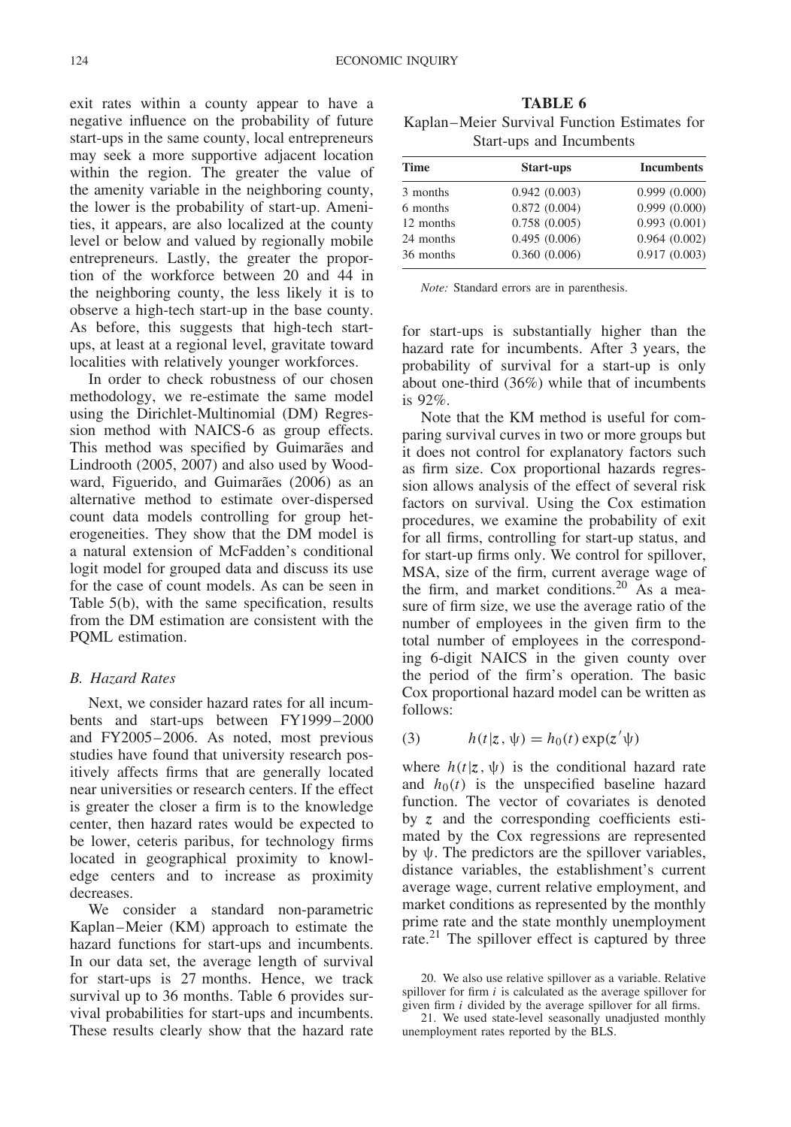exit rates within a county appear to have a negative influence on the probability of future start-ups in the same county, local entrepreneurs may seek a more supportive adjacent location within the region. The greater the value of the amenity variable in the neighboring county, the lower is the probability of start-up. Amenities, it appears, are also localized at the county level or below and valued by regionally mobile entrepreneurs. Lastly, the greater the proportion of the workforce between 20 and 44 in the neighboring county, the less likely it is to observe a high-tech start-up in the base county. As before, this suggests that high-tech startups, at least at a regional level, gravitate toward localities with relatively younger workforces.

In order to check robustness of our chosen methodology, we re-estimate the same model using the Dirichlet-Multinomial (DM) Regression method with NAICS-6 as group effects. This method was specified by Guimarães and Lindrooth (2005, 2007) and also used by Woodward, Figuerido, and Guimarães (2006) as an alternative method to estimate over-dispersed count data models controlling for group heterogeneities. They show that the DM model is a natural extension of McFadden's conditional logit model for grouped data and discuss its use for the case of count models. As can be seen in Table 5(b), with the same specification, results from the DM estimation are consistent with the PQML estimation.

## *B. Hazard Rates*

Next, we consider hazard rates for all incumbents and start-ups between FY1999–2000 and FY2005–2006. As noted, most previous studies have found that university research positively affects firms that are generally located near universities or research centers. If the effect is greater the closer a firm is to the knowledge center, then hazard rates would be expected to be lower, ceteris paribus, for technology firms located in geographical proximity to knowledge centers and to increase as proximity decreases.

We consider a standard non-parametric Kaplan–Meier (KM) approach to estimate the hazard functions for start-ups and incumbents. In our data set, the average length of survival for start-ups is 27 months. Hence, we track survival up to 36 months. Table 6 provides survival probabilities for start-ups and incumbents. These results clearly show that the hazard rate

**TABLE 6** Kaplan–Meier Survival Function Estimates for Start-ups and Incumbents

| <b>Time</b> | Start-ups    | <b>Incumbents</b> |  |  |
|-------------|--------------|-------------------|--|--|
| 3 months    | 0.942(0.003) | 0.999(0.000)      |  |  |
| 6 months    | 0.872(0.004) | 0.999(0.000)      |  |  |
| 12 months   | 0.758(0.005) | 0.993(0.001)      |  |  |
| 24 months   | 0.495(0.006) | 0.964(0.002)      |  |  |
| 36 months   | 0.360(0.006) | 0.917(0.003)      |  |  |

*Note:* Standard errors are in parenthesis.

for start-ups is substantially higher than the hazard rate for incumbents. After 3 years, the probability of survival for a start-up is only about one-third (36%) while that of incumbents is 92%.

Note that the KM method is useful for comparing survival curves in two or more groups but it does not control for explanatory factors such as firm size. Cox proportional hazards regression allows analysis of the effect of several risk factors on survival. Using the Cox estimation procedures, we examine the probability of exit for all firms, controlling for start-up status, and for start-up firms only. We control for spillover, MSA, size of the firm, current average wage of the firm, and market conditions.<sup>20</sup> As a measure of firm size, we use the average ratio of the number of employees in the given firm to the total number of employees in the corresponding 6-digit NAICS in the given county over the period of the firm's operation. The basic Cox proportional hazard model can be written as follows:

(3) 
$$
h(t|z, \psi) = h_0(t) \exp(z'\psi)
$$

where  $h(t|z, \psi)$  is the conditional hazard rate and  $h_0(t)$  is the unspecified baseline hazard function. The vector of covariates is denoted by *z* and the corresponding coefficients estimated by the Cox regressions are represented by ψ. The predictors are the spillover variables, distance variables, the establishment's current average wage, current relative employment, and market conditions as represented by the monthly prime rate and the state monthly unemployment rate.<sup>21</sup> The spillover effect is captured by three

<sup>20.</sup> We also use relative spillover as a variable. Relative spillover for firm *i* is calculated as the average spillover for given firm *i* divided by the average spillover for all firms.

<sup>21.</sup> We used state-level seasonally unadjusted monthly unemployment rates reported by the BLS.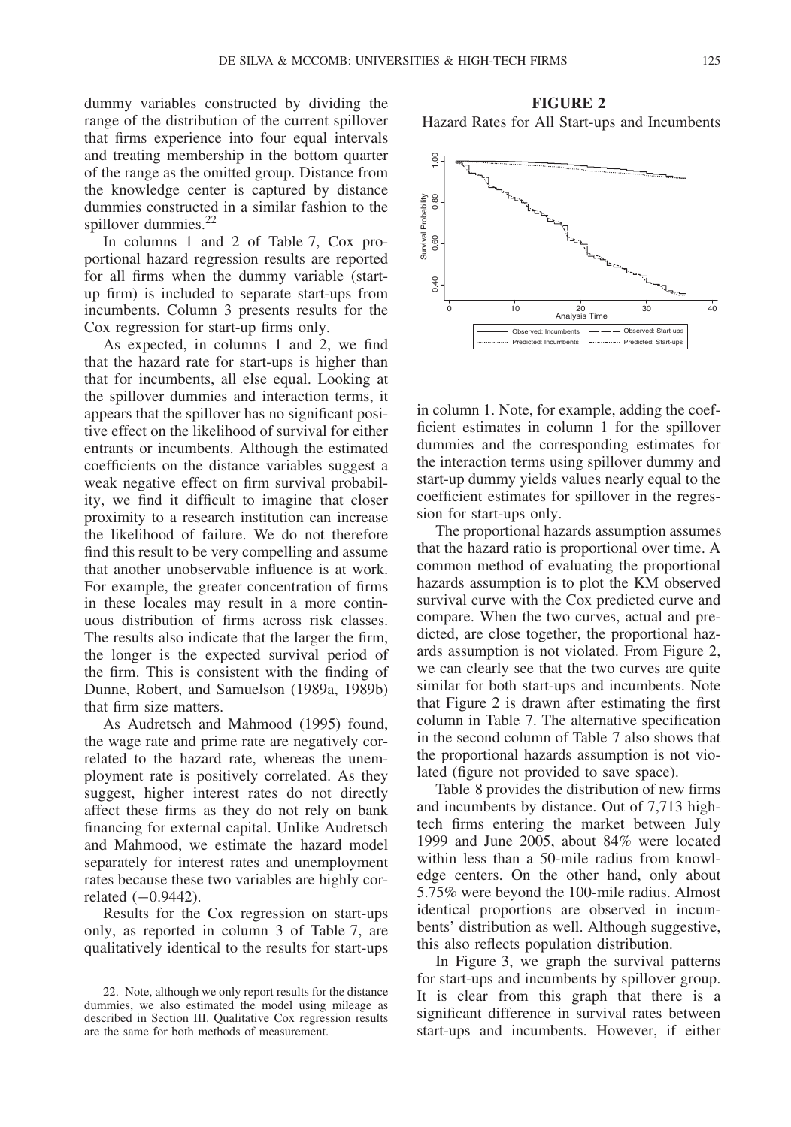dummy variables constructed by dividing the range of the distribution of the current spillover that firms experience into four equal intervals and treating membership in the bottom quarter of the range as the omitted group. Distance from the knowledge center is captured by distance dummies constructed in a similar fashion to the spillover dummies.<sup>22</sup>

In columns 1 and 2 of Table 7, Cox proportional hazard regression results are reported for all firms when the dummy variable (startup firm) is included to separate start-ups from incumbents. Column 3 presents results for the Cox regression for start-up firms only.

As expected, in columns 1 and 2, we find that the hazard rate for start-ups is higher than that for incumbents, all else equal. Looking at the spillover dummies and interaction terms, it appears that the spillover has no significant positive effect on the likelihood of survival for either entrants or incumbents. Although the estimated coefficients on the distance variables suggest a weak negative effect on firm survival probability, we find it difficult to imagine that closer proximity to a research institution can increase the likelihood of failure. We do not therefore find this result to be very compelling and assume that another unobservable influence is at work. For example, the greater concentration of firms in these locales may result in a more continuous distribution of firms across risk classes. The results also indicate that the larger the firm, the longer is the expected survival period of the firm. This is consistent with the finding of Dunne, Robert, and Samuelson (1989a, 1989b) that firm size matters.

As Audretsch and Mahmood (1995) found, the wage rate and prime rate are negatively correlated to the hazard rate, whereas the unemployment rate is positively correlated. As they suggest, higher interest rates do not directly affect these firms as they do not rely on bank financing for external capital. Unlike Audretsch and Mahmood, we estimate the hazard model separately for interest rates and unemployment rates because these two variables are highly correlated (−0.9442).

Results for the Cox regression on start-ups only, as reported in column 3 of Table 7, are qualitatively identical to the results for start-ups

**FIGURE 2** Hazard Rates for All Start-ups and Incumbents



in column 1. Note, for example, adding the coefficient estimates in column 1 for the spillover dummies and the corresponding estimates for the interaction terms using spillover dummy and start-up dummy yields values nearly equal to the coefficient estimates for spillover in the regression for start-ups only.

The proportional hazards assumption assumes that the hazard ratio is proportional over time. A common method of evaluating the proportional hazards assumption is to plot the KM observed survival curve with the Cox predicted curve and compare. When the two curves, actual and predicted, are close together, the proportional hazards assumption is not violated. From Figure 2, we can clearly see that the two curves are quite similar for both start-ups and incumbents. Note that Figure 2 is drawn after estimating the first column in Table 7. The alternative specification in the second column of Table 7 also shows that the proportional hazards assumption is not violated (figure not provided to save space).

Table 8 provides the distribution of new firms and incumbents by distance. Out of 7,713 hightech firms entering the market between July 1999 and June 2005, about 84% were located within less than a 50-mile radius from knowledge centers. On the other hand, only about 5.75% were beyond the 100-mile radius. Almost identical proportions are observed in incumbents' distribution as well. Although suggestive, this also reflects population distribution.

In Figure 3, we graph the survival patterns for start-ups and incumbents by spillover group. It is clear from this graph that there is a significant difference in survival rates between start-ups and incumbents. However, if either

<sup>22.</sup> Note, although we only report results for the distance dummies, we also estimated the model using mileage as described in Section III. Qualitative Cox regression results are the same for both methods of measurement.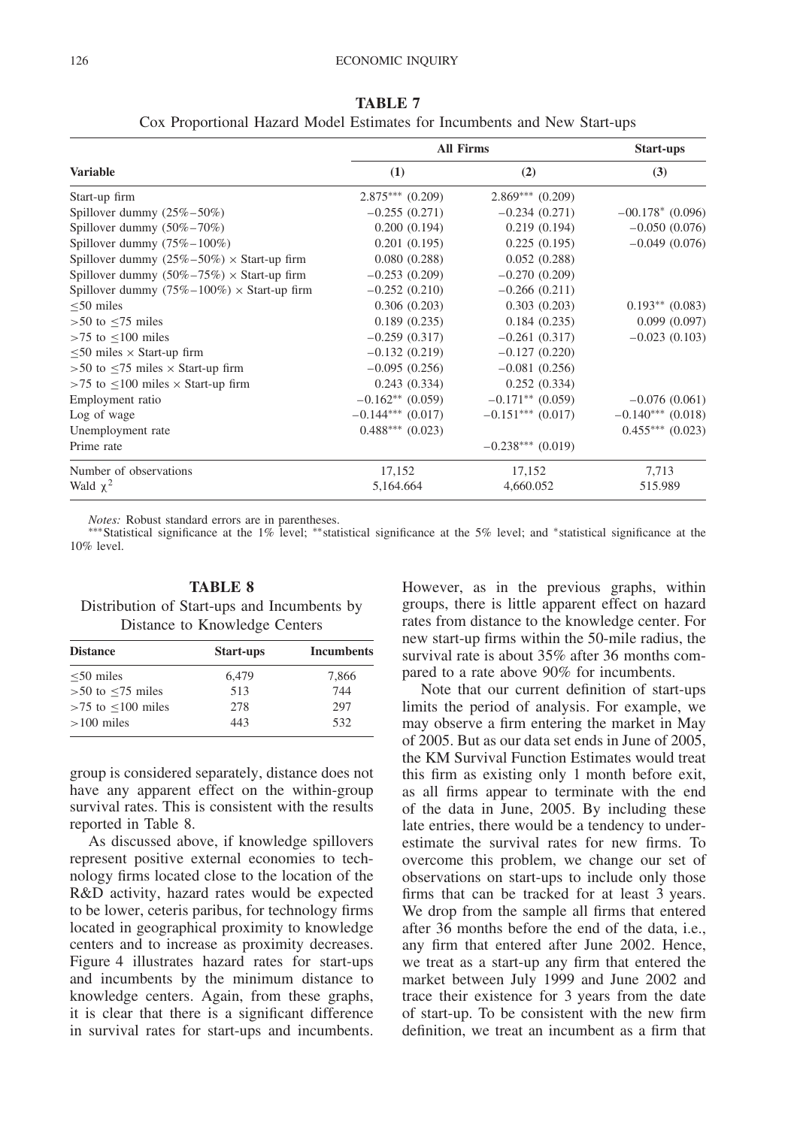|                                                      |                     | <b>All Firms</b>    | Start-ups           |
|------------------------------------------------------|---------------------|---------------------|---------------------|
| <b>Variable</b>                                      | (1)                 | (2)                 | (3)                 |
| Start-up firm                                        | $2.875***(0.209)$   | $2.869***(0.209)$   |                     |
| Spillover dummy $(25\% - 50\%)$                      | $-0.255(0.271)$     | $-0.234(0.271)$     | $-00.178*(0.096)$   |
| Spillover dummy $(50\% - 70\%)$                      | 0.200(0.194)        | 0.219(0.194)        | $-0.050(0.076)$     |
| Spillover dummy $(75\%-100\%)$                       | 0.201(0.195)        | 0.225(0.195)        | $-0.049(0.076)$     |
| Spillover dummy $(25\% - 50\%) \times$ Start-up firm | 0.080(0.288)        | 0.052(0.288)        |                     |
| Spillover dummy $(50\% - 75\%) \times$ Start-up firm | $-0.253(0.209)$     | $-0.270(0.209)$     |                     |
| Spillover dummy $(75\%-100\%) \times$ Start-up firm  | $-0.252(0.210)$     | $-0.266(0.211)$     |                     |
| $<$ 50 miles                                         | 0.306(0.203)        | 0.303(0.203)        | $0.193**$ (0.083)   |
| $>50$ to $<75$ miles                                 | 0.189(0.235)        | 0.184(0.235)        | 0.099(0.097)        |
| $>75$ to $\leq 100$ miles                            | $-0.259(0.317)$     | $-0.261(0.317)$     | $-0.023(0.103)$     |
| $\leq$ 50 miles $\times$ Start-up firm               | $-0.132(0.219)$     | $-0.127(0.220)$     |                     |
| $> 50$ to $\leq 75$ miles $\times$ Start-up firm     | $-0.095(0.256)$     | $-0.081(0.256)$     |                     |
| $>75$ to $\leq 100$ miles $\times$ Start-up firm     | 0.243(0.334)        | 0.252(0.334)        |                     |
| Employment ratio                                     | $-0.162**$ (0.059)  | $-0.171**$ (0.059)  | $-0.076(0.061)$     |
| Log of wage                                          | $-0.144***$ (0.017) | $-0.151***$ (0.017) | $-0.140***$ (0.018) |
| Unemployment rate                                    | $0.488***(0.023)$   |                     | $0.455***(0.023)$   |
| Prime rate                                           |                     | $-0.238***$ (0.019) |                     |
| Number of observations                               | 17,152              | 17,152              | 7,713               |
| Wald $\chi^2$                                        | 5,164.664           | 4,660.052           | 515.989             |

**TABLE 7** Cox Proportional Hazard Model Estimates for Incumbents and New Start-ups

*Notes:* Robust standard errors are in parentheses.

∗∗∗Statistical significance at the 1% level; ∗∗statistical significance at the 5% level; and ∗statistical significance at the 10% level.

**TABLE 8** Distribution of Start-ups and Incumbents by Distance to Knowledge Centers

| <b>Distance</b>        | Start-ups | <b>Incumbents</b> |  |
|------------------------|-----------|-------------------|--|
| $<$ 50 miles           | 6.479     | 7,866             |  |
| $>50$ to $<75$ miles   | 513       | 744               |  |
| $>75$ to $< 100$ miles | 278       | 297               |  |
| $>100$ miles           | 443       | 532               |  |

group is considered separately, distance does not have any apparent effect on the within-group survival rates. This is consistent with the results reported in Table 8.

As discussed above, if knowledge spillovers represent positive external economies to technology firms located close to the location of the R&D activity, hazard rates would be expected to be lower, ceteris paribus, for technology firms located in geographical proximity to knowledge centers and to increase as proximity decreases. Figure 4 illustrates hazard rates for start-ups and incumbents by the minimum distance to knowledge centers. Again, from these graphs, it is clear that there is a significant difference in survival rates for start-ups and incumbents.

However, as in the previous graphs, within groups, there is little apparent effect on hazard rates from distance to the knowledge center. For new start-up firms within the 50-mile radius, the survival rate is about 35% after 36 months compared to a rate above 90% for incumbents.

Note that our current definition of start-ups limits the period of analysis. For example, we may observe a firm entering the market in May of 2005. But as our data set ends in June of 2005, the KM Survival Function Estimates would treat this firm as existing only 1 month before exit, as all firms appear to terminate with the end of the data in June, 2005. By including these late entries, there would be a tendency to underestimate the survival rates for new firms. To overcome this problem, we change our set of observations on start-ups to include only those firms that can be tracked for at least 3 years. We drop from the sample all firms that entered after 36 months before the end of the data, i.e., any firm that entered after June 2002. Hence, we treat as a start-up any firm that entered the market between July 1999 and June 2002 and trace their existence for 3 years from the date of start-up. To be consistent with the new firm definition, we treat an incumbent as a firm that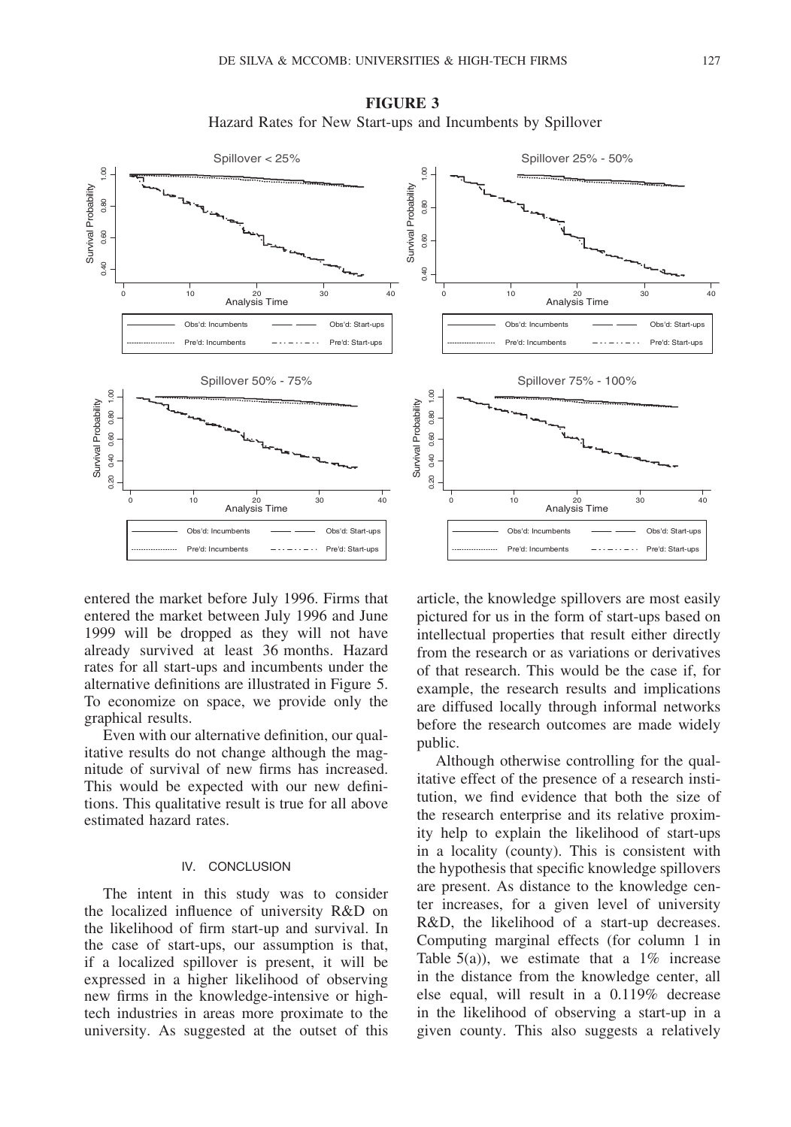

**FIGURE 3** Hazard Rates for New Start-ups and Incumbents by Spillover

entered the market before July 1996. Firms that entered the market between July 1996 and June 1999 will be dropped as they will not have already survived at least 36 months. Hazard rates for all start-ups and incumbents under the alternative definitions are illustrated in Figure 5. To economize on space, we provide only the graphical results.

Even with our alternative definition, our qualitative results do not change although the magnitude of survival of new firms has increased. This would be expected with our new definitions. This qualitative result is true for all above estimated hazard rates.

## IV. CONCLUSION

The intent in this study was to consider the localized influence of university R&D on the likelihood of firm start-up and survival. In the case of start-ups, our assumption is that, if a localized spillover is present, it will be expressed in a higher likelihood of observing new firms in the knowledge-intensive or hightech industries in areas more proximate to the university. As suggested at the outset of this article, the knowledge spillovers are most easily pictured for us in the form of start-ups based on intellectual properties that result either directly from the research or as variations or derivatives of that research. This would be the case if, for example, the research results and implications are diffused locally through informal networks before the research outcomes are made widely public.

Although otherwise controlling for the qualitative effect of the presence of a research institution, we find evidence that both the size of the research enterprise and its relative proximity help to explain the likelihood of start-ups in a locality (county). This is consistent with the hypothesis that specific knowledge spillovers are present. As distance to the knowledge center increases, for a given level of university R&D, the likelihood of a start-up decreases. Computing marginal effects (for column 1 in Table  $5(a)$ , we estimate that a 1% increase in the distance from the knowledge center, all else equal, will result in a 0.119% decrease in the likelihood of observing a start-up in a given county. This also suggests a relatively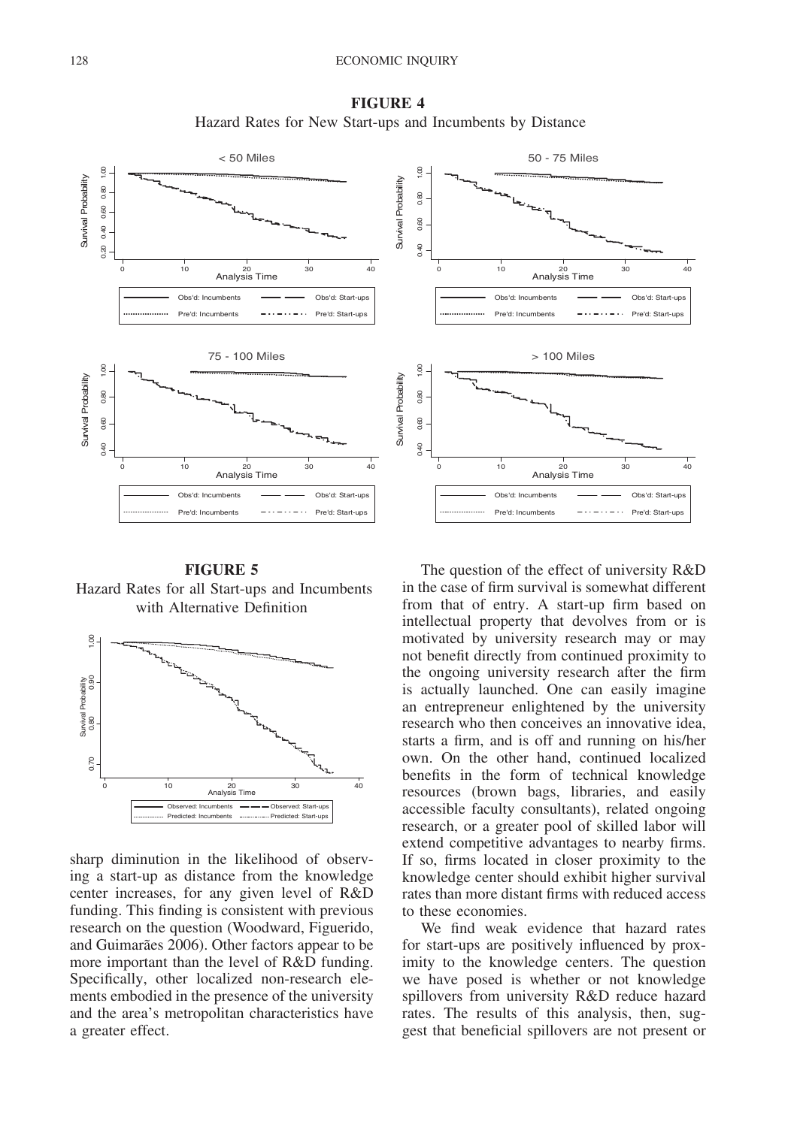

**FIGURE 4**

**FIGURE 5** Hazard Rates for all Start-ups and Incumbents with Alternative Definition



sharp diminution in the likelihood of observing a start-up as distance from the knowledge center increases, for any given level of R&D funding. This finding is consistent with previous research on the question (Woodward, Figuerido, and Guimarães 2006). Other factors appear to be more important than the level of R&D funding. Specifically, other localized non-research elements embodied in the presence of the university and the area's metropolitan characteristics have a greater effect.

The question of the effect of university R&D in the case of firm survival is somewhat different from that of entry. A start-up firm based on intellectual property that devolves from or is motivated by university research may or may not benefit directly from continued proximity to the ongoing university research after the firm is actually launched. One can easily imagine an entrepreneur enlightened by the university research who then conceives an innovative idea, starts a firm, and is off and running on his/her own. On the other hand, continued localized benefits in the form of technical knowledge resources (brown bags, libraries, and easily accessible faculty consultants), related ongoing research, or a greater pool of skilled labor will extend competitive advantages to nearby firms. If so, firms located in closer proximity to the knowledge center should exhibit higher survival rates than more distant firms with reduced access to these economies.

We find weak evidence that hazard rates for start-ups are positively influenced by proximity to the knowledge centers. The question we have posed is whether or not knowledge spillovers from university R&D reduce hazard rates. The results of this analysis, then, suggest that beneficial spillovers are not present or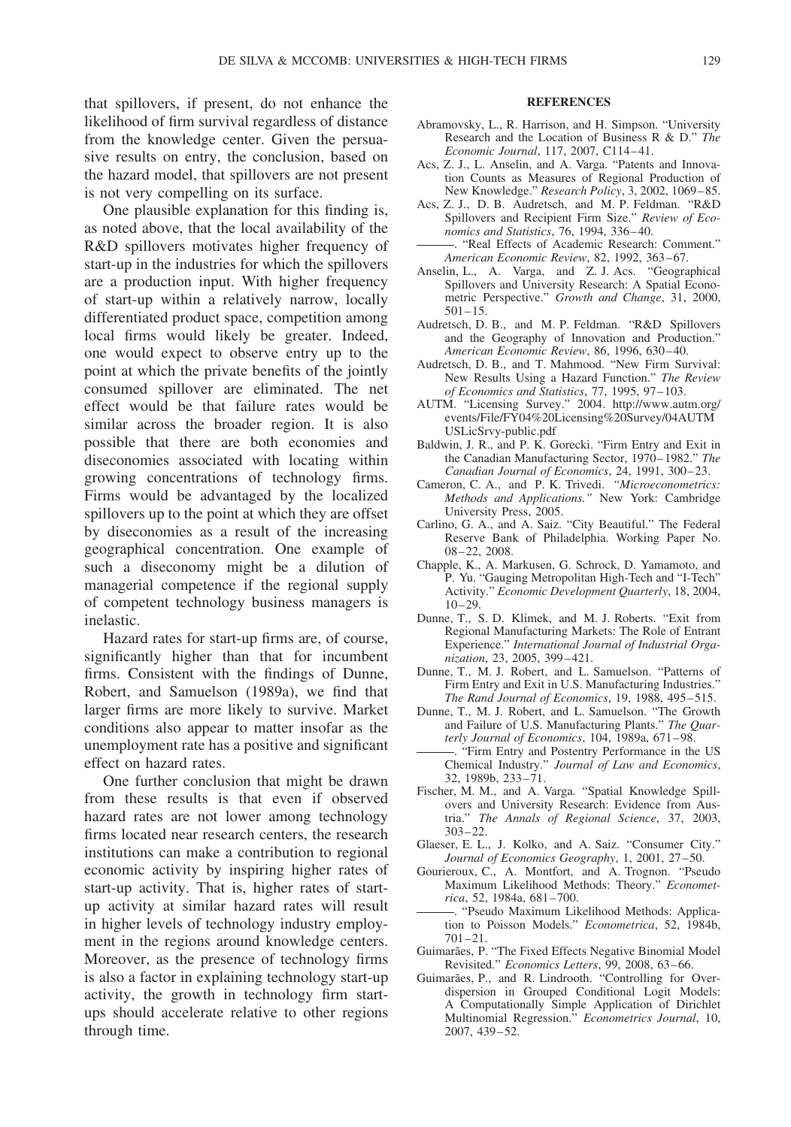that spillovers, if present, do not enhance the likelihood of firm survival regardless of distance from the knowledge center. Given the persuasive results on entry, the conclusion, based on the hazard model, that spillovers are not present is not very compelling on its surface.

One plausible explanation for this finding is, as noted above, that the local availability of the R&D spillovers motivates higher frequency of start-up in the industries for which the spillovers are a production input. With higher frequency of start-up within a relatively narrow, locally differentiated product space, competition among local firms would likely be greater. Indeed, one would expect to observe entry up to the point at which the private benefits of the jointly consumed spillover are eliminated. The net effect would be that failure rates would be similar across the broader region. It is also possible that there are both economies and diseconomies associated with locating within growing concentrations of technology firms. Firms would be advantaged by the localized spillovers up to the point at which they are offset by diseconomies as a result of the increasing geographical concentration. One example of such a diseconomy might be a dilution of managerial competence if the regional supply of competent technology business managers is inelastic.

Hazard rates for start-up firms are, of course, significantly higher than that for incumbent firms. Consistent with the findings of Dunne, Robert, and Samuelson (1989a), we find that larger firms are more likely to survive. Market conditions also appear to matter insofar as the unemployment rate has a positive and significant effect on hazard rates.

One further conclusion that might be drawn from these results is that even if observed hazard rates are not lower among technology firms located near research centers, the research institutions can make a contribution to regional economic activity by inspiring higher rates of start-up activity. That is, higher rates of startup activity at similar hazard rates will result in higher levels of technology industry employment in the regions around knowledge centers. Moreover, as the presence of technology firms is also a factor in explaining technology start-up activity, the growth in technology firm startups should accelerate relative to other regions through time.

### **REFERENCES**

- Abramovsky, L., R. Harrison, and H. Simpson. "University Research and the Location of Business R & D." *The Economic Journal*, 117, 2007, C114–41.
- Acs, Z. J., L. Anselin, and A. Varga. "Patents and Innovation Counts as Measures of Regional Production of New Knowledge." *Research Policy*, 3, 2002, 1069–85.
- Acs, Z. J., D. B. Audretsch, and M. P. Feldman. "R&D Spillovers and Recipient Firm Size." *Review of Economics and Statistics*, 76, 1994, 336–40.
- . "Real Effects of Academic Research: Comment." *American Economic Review*, 82, 1992, 363–67.
- Anselin, L., A. Varga, and Z. J. Acs. "Geographical Spillovers and University Research: A Spatial Econometric Perspective." *Growth and Change*, 31, 2000, 501–15.
- Audretsch, D. B., and M. P. Feldman. "R&D Spillovers and the Geography of Innovation and Production." *American Economic Review*, 86, 1996, 630–40.
- Audretsch, D. B., and T. Mahmood. "New Firm Survival: New Results Using a Hazard Function." *The Review of Economics and Statistics*, 77, 1995, 97–103.
- AUTM. "Licensing Survey." 2004. http://www.autm.org/ events/File/FY04%20Licensing%20Survey/04AUTM USLicSrvy-public.pdf
- Baldwin, J. R., and P. K. Gorecki. "Firm Entry and Exit in the Canadian Manufacturing Sector, 1970–1982." *The Canadian Journal of Economics*, 24, 1991, 300–23.
- Cameron, C. A., and P. K. Trivedi. *"Microeconometrics: Methods and Applications."* New York: Cambridge University Press, 2005.
- Carlino, G. A., and A. Saiz. "City Beautiful." The Federal Reserve Bank of Philadelphia. Working Paper No. 08–22, 2008.
- Chapple, K., A. Markusen, G. Schrock, D. Yamamoto, and P. Yu. "Gauging Metropolitan High-Tech and "I-Tech" Activity." *Economic Development Quarterly*, 18, 2004, 10–29.
- Dunne, T., S. D. Klimek, and M. J. Roberts. "Exit from Regional Manufacturing Markets: The Role of Entrant Experience." *International Journal of Industrial Organization*, 23, 2005, 399–421.
- Dunne, T., M. J. Robert, and L. Samuelson. "Patterns of Firm Entry and Exit in U.S. Manufacturing Industries." *The Rand Journal of Economics*, 19, 1988, 495–515.
- Dunne, T., M. J. Robert, and L. Samuelson. "The Growth and Failure of U.S. Manufacturing Plants." *The Quarterly Journal of Economics*, 104, 1989a, 671–98.
- . "Firm Entry and Postentry Performance in the US Chemical Industry." *Journal of Law and Economics*, 32, 1989b, 233–71.
- Fischer, M. M., and A. Varga. "Spatial Knowledge Spillovers and University Research: Evidence from Austria." *The Annals of Regional Science*, 37, 2003, 303–22.
- Glaeser, E. L., J. Kolko, and A. Saiz. "Consumer City." *Journal of Economics Geography*, 1, 2001, 27–50.
- Gourieroux, C., A. Montfort, and A. Trognon. "Pseudo Maximum Likelihood Methods: Theory." *Econometrica*, 52, 1984a, 681–700.
- . "Pseudo Maximum Likelihood Methods: Application to Poisson Models." *Econometrica*, 52, 1984b, 701–21.
- Guimarães, P. "The Fixed Effects Negative Binomial Model Revisited." *Economics Letters*, 99, 2008, 63–66.
- Guimarães, P., and R. Lindrooth. "Controlling for Overdispersion in Grouped Conditional Logit Models: A Computationally Simple Application of Dirichlet Multinomial Regression." *Econometrics Journal*, 10, 2007, 439–52.